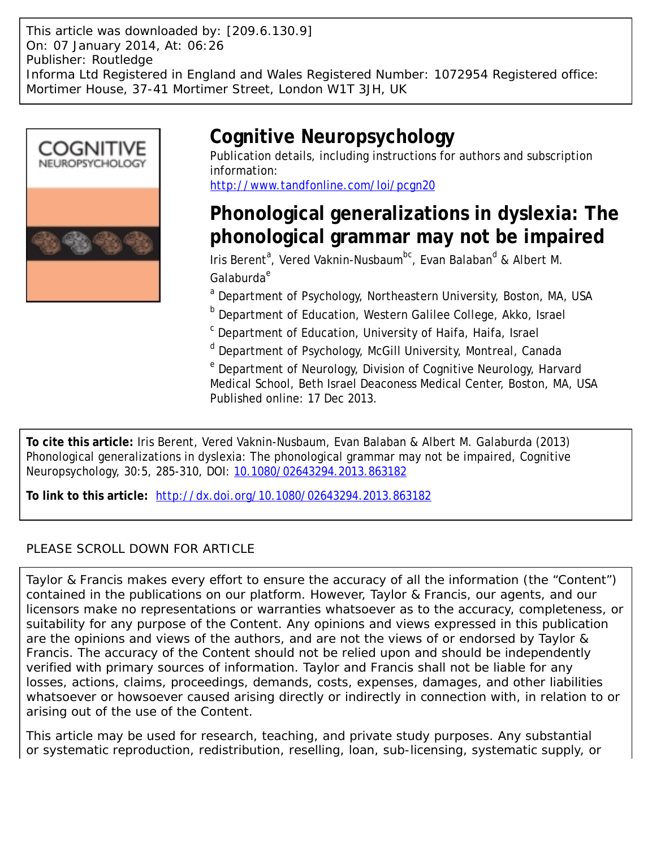This article was downloaded by: [209.6.130.9] On: 07 January 2014, At: 06:26 Publisher: Routledge Informa Ltd Registered in England and Wales Registered Number: 1072954 Registered office: Mortimer House, 37-41 Mortimer Street, London W1T 3JH, UK



## **Cognitive Neuropsychology**

Publication details, including instructions for authors and subscription information:

<http://www.tandfonline.com/loi/pcgn20>

## **Phonological generalizations in dyslexia: The phonological grammar may not be impaired**

Iris Berent<sup>a</sup>, Vered Vaknin-Nusbaum<sup>bc</sup>, Evan Balaban<sup>d</sup> & Albert M. Galaburda<sup>e</sup>

<sup>a</sup> Department of Psychology, Northeastern University, Boston, MA, USA

**b** Department of Education, Western Galilee College, Akko, Israel

c Department of Education, University of Haifa, Haifa, Israel

<sup>d</sup> Department of Psychology, McGill University, Montreal, Canada

<sup>e</sup> Department of Neurology, Division of Cognitive Neurology, Harvard Medical School, Beth Israel Deaconess Medical Center, Boston, MA, USA Published online: 17 Dec 2013.

**To cite this article:** Iris Berent, Vered Vaknin-Nusbaum, Evan Balaban & Albert M. Galaburda (2013) Phonological generalizations in dyslexia: The phonological grammar may not be impaired, Cognitive Neuropsychology, 30:5, 285-310, DOI: [10.1080/02643294.2013.863182](http://www.tandfonline.com/action/showCitFormats?doi=10.1080/02643294.2013.863182)

**To link to this article:** <http://dx.doi.org/10.1080/02643294.2013.863182>

## PLEASE SCROLL DOWN FOR ARTICLE

Taylor & Francis makes every effort to ensure the accuracy of all the information (the "Content") contained in the publications on our platform. However, Taylor & Francis, our agents, and our licensors make no representations or warranties whatsoever as to the accuracy, completeness, or suitability for any purpose of the Content. Any opinions and views expressed in this publication are the opinions and views of the authors, and are not the views of or endorsed by Taylor & Francis. The accuracy of the Content should not be relied upon and should be independently verified with primary sources of information. Taylor and Francis shall not be liable for any losses, actions, claims, proceedings, demands, costs, expenses, damages, and other liabilities whatsoever or howsoever caused arising directly or indirectly in connection with, in relation to or arising out of the use of the Content.

This article may be used for research, teaching, and private study purposes. Any substantial or systematic reproduction, redistribution, reselling, loan, sub-licensing, systematic supply, or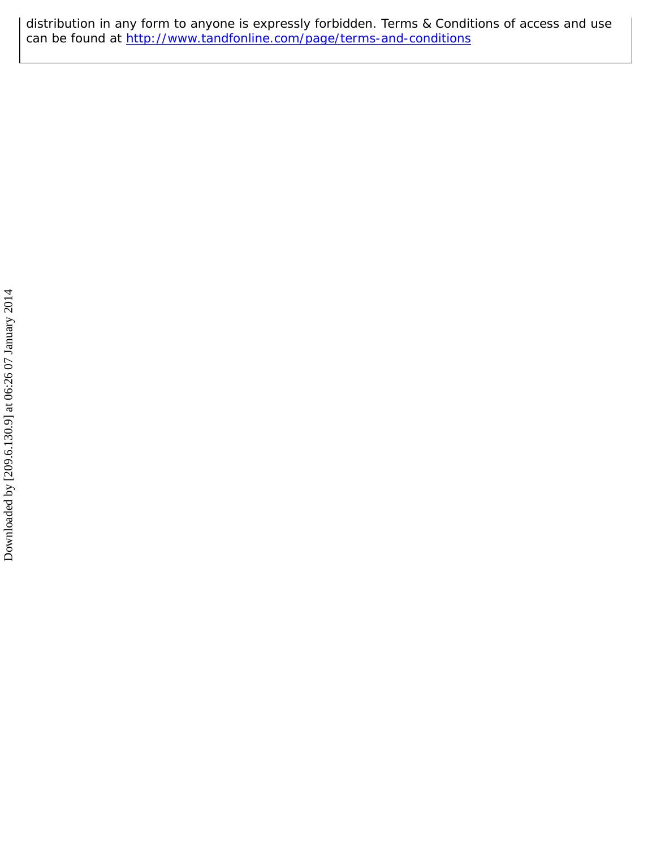distribution in any form to anyone is expressly forbidden. Terms & Conditions of access and use can be found at <http://www.tandfonline.com/page/terms-and-conditions>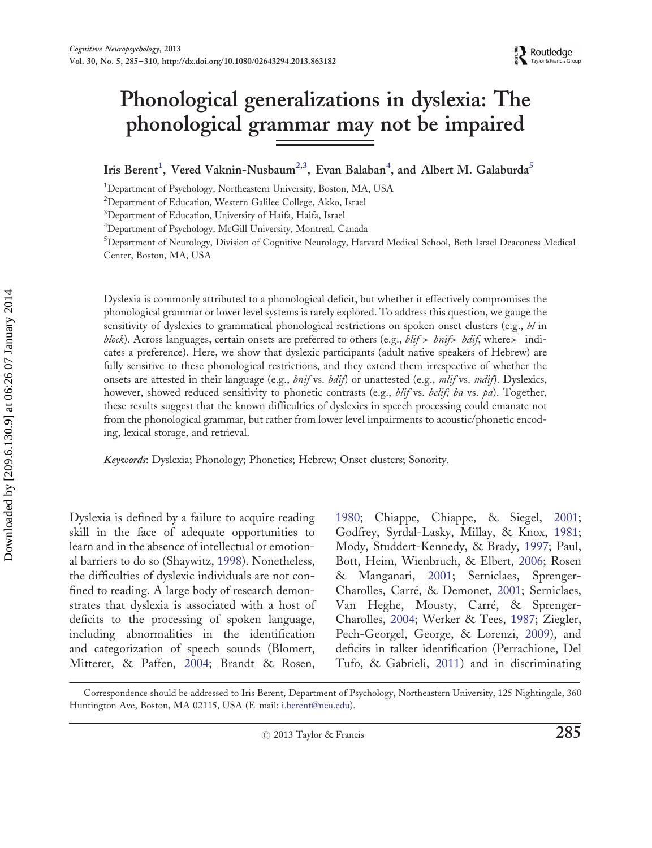# Phonological generalizations in dyslexia: The phonological grammar may not be impaired

Iris Berent<sup>1</sup>, Vered Vaknin-Nusbaum<sup>2,3</sup>, Evan Balaban<sup>4</sup>, and Albert M. Galaburda<sup>5</sup>

<sup>1</sup>Department of Psychology, Northeastern University, Boston, MA, USA

2 Department of Education, Western Galilee College, Akko, Israel

 $^3$ Department of Education, University of Haifa, Haifa, Israel

4 Department of Psychology, McGill University, Montreal, Canada

5 Department of Neurology, Division of Cognitive Neurology, Harvard Medical School, Beth Israel Deaconess Medical Center, Boston, MA, USA

Dyslexia is commonly attributed to a phonological deficit, but whether it effectively compromises the phonological grammar or lower level systems is rarely explored. To address this question, we gauge the sensitivity of dyslexics to grammatical phonological restrictions on spoken onset clusters (e.g.,  $bl$  in block). Across languages, certain onsets are preferred to others (e.g., blif ≻ bnif ≻ bdif, where ≻ indicates a preference). Here, we show that dyslexic participants (adult native speakers of Hebrew) are fully sensitive to these phonological restrictions, and they extend them irrespective of whether the onsets are attested in their language (e.g., bnif vs. bdif) or unattested (e.g., mlif vs. mdif). Dyslexics, however, showed reduced sensitivity to phonetic contrasts (e.g., blif vs. belif; ba vs. pa). Together, these results suggest that the known difficulties of dyslexics in speech processing could emanate not from the phonological grammar, but rather from lower level impairments to acoustic/phonetic encoding, lexical storage, and retrieval.

Keywords: Dyslexia; Phonology; Phonetics; Hebrew; Onset clusters; Sonority.

Dyslexia is defined by a failure to acquire reading skill in the face of adequate opportunities to learn and in the absence of intellectual or emotional barriers to do so (Shaywitz, [1998\)](#page-26-0). Nonetheless, the difficulties of dyslexic individuals are not confined to reading. A large body of research demonstrates that dyslexia is associated with a host of deficits to the processing of spoken language, including abnormalities in the identification and categorization of speech sounds (Blomert, Mitterer, & Paffen, [2004;](#page-23-0) Brandt & Rosen,

[1980;](#page-23-0) Chiappe, Chiappe, & Siegel, [2001](#page-23-0); Godfrey, Syrdal-Lasky, Millay, & Knox, [1981](#page-24-0); Mody, Studdert-Kennedy, & Brady, [1997;](#page-25-0) Paul, Bott, Heim, Wienbruch, & Elbert, [2006](#page-25-0); Rosen & Manganari, [2001;](#page-25-0) Serniclaes, Sprenger-Charolles, Carré, & Demonet, [2001;](#page-26-0) Serniclaes, Van Heghe, Mousty, Carré, & Sprenger-Charolles, [2004](#page-26-0); Werker & Tees, [1987;](#page-26-0) Ziegler, Pech-Georgel, George, & Lorenzi, [2009\)](#page-26-0), and deficits in talker identification (Perrachione, Del Tufo, & Gabrieli, [2011](#page-25-0)) and in discriminating

Correspondence should be addressed to Iris Berent, Department of Psychology, Northeastern University, 125 Nightingale, 360 Huntington Ave, Boston, MA 02115, USA (E-mail: [i.berent@neu.edu\)](mailto:i.berent@neu.edu)).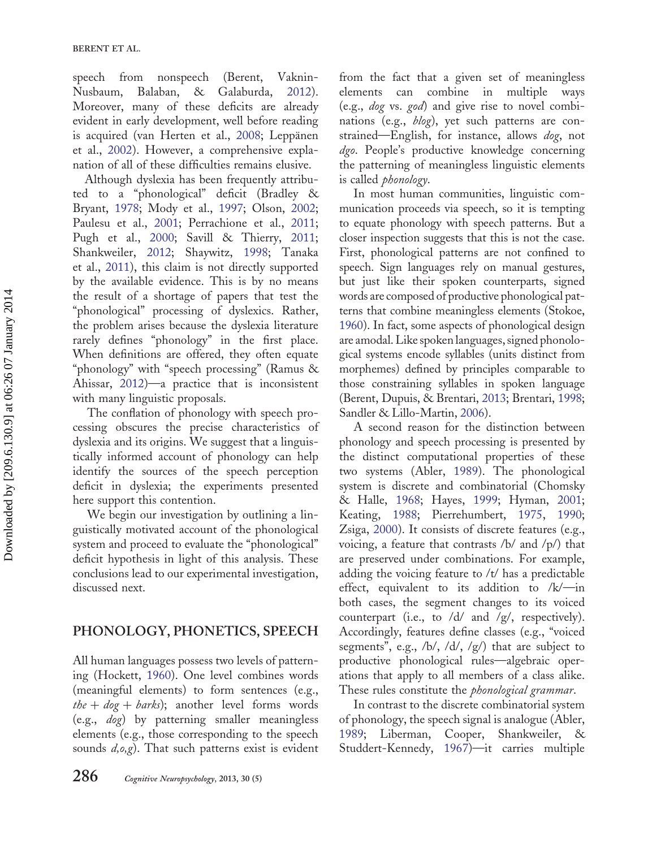speech from nonspeech (Berent, Vaknin-Nusbaum, Balaban, & Galaburda, [2012\)](#page-23-0). Moreover, many of these deficits are already evident in early development, well before reading is acquired (van Herten et al., [2008](#page-26-0); Leppänen et al., [2002\)](#page-24-0). However, a comprehensive explanation of all of these difficulties remains elusive.

Although dyslexia has been frequently attributed to a "phonological" deficit (Bradley & Bryant, [1978](#page-23-0); Mody et al., [1997;](#page-25-0) Olson, [2002](#page-25-0); Paulesu et al., [2001;](#page-25-0) Perrachione et al., [2011](#page-25-0); Pugh et al., [2000](#page-25-0); Savill & Thierry, [2011](#page-26-0); Shankweiler, [2012;](#page-26-0) Shaywitz, [1998](#page-26-0); Tanaka et al., [2011\)](#page-26-0), this claim is not directly supported by the available evidence. This is by no means the result of a shortage of papers that test the "phonological" processing of dyslexics. Rather, the problem arises because the dyslexia literature rarely defines "phonology" in the first place. When definitions are offered, they often equate "phonology" with "speech processing" (Ramus & Ahissar, [2012\)](#page-25-0)—a practice that is inconsistent with many linguistic proposals.

The conflation of phonology with speech processing obscures the precise characteristics of dyslexia and its origins. We suggest that a linguistically informed account of phonology can help identify the sources of the speech perception deficit in dyslexia; the experiments presented here support this contention.

We begin our investigation by outlining a linguistically motivated account of the phonological system and proceed to evaluate the "phonological" deficit hypothesis in light of this analysis. These conclusions lead to our experimental investigation, discussed next.

## PHONOLOGY, PHONETICS, SPEECH

All human languages possess two levels of patterning (Hockett, [1960\)](#page-24-0). One level combines words (meaningful elements) to form sentences (e.g.,  $the + dog + barks$ ; another level forms words (e.g., dog) by patterning smaller meaningless elements (e.g., those corresponding to the speech sounds  $d, o, g$ ). That such patterns exist is evident from the fact that a given set of meaningless elements can combine in multiple ways (e.g., dog vs. god) and give rise to novel combinations (e.g., *blog*), yet such patterns are constrained—English, for instance, allows dog, not dgo. People's productive knowledge concerning the patterning of meaningless linguistic elements is called phonology.

In most human communities, linguistic communication proceeds via speech, so it is tempting to equate phonology with speech patterns. But a closer inspection suggests that this is not the case. First, phonological patterns are not confined to speech. Sign languages rely on manual gestures, but just like their spoken counterparts, signed words are composed of productive phonological patterns that combine meaningless elements (Stokoe, [1960](#page-26-0)). In fact, some aspects of phonological design are amodal. Like spoken languages, signed phonological systems encode syllables (units distinct from morphemes) defined by principles comparable to those constraining syllables in spoken language (Berent, Dupuis, & Brentari, [2013](#page-23-0); Brentari, [1998](#page-23-0); Sandler & Lillo-Martin, [2006](#page-25-0)).

A second reason for the distinction between phonology and speech processing is presented by the distinct computational properties of these two systems (Abler, [1989\)](#page-23-0). The phonological system is discrete and combinatorial (Chomsky & Halle, [1968](#page-23-0); Hayes, [1999](#page-24-0); Hyman, [2001](#page-24-0); Keating, [1988;](#page-24-0) Pierrehumbert, [1975](#page-25-0), [1990](#page-25-0); Zsiga, [2000](#page-26-0)). It consists of discrete features (e.g., voicing, a feature that contrasts /b/ and /p/) that are preserved under combinations. For example, adding the voicing feature to /t/ has a predictable effect, equivalent to its addition to /k/—in both cases, the segment changes to its voiced counterpart (i.e., to /d/ and /g/, respectively). Accordingly, features define classes (e.g., "voiced segments", e.g., /b/, /d/, /g/) that are subject to productive phonological rules—algebraic operations that apply to all members of a class alike. These rules constitute the *phonological grammar*.

In contrast to the discrete combinatorial system of phonology, the speech signal is analogue (Abler, [1989;](#page-23-0) Liberman, Cooper, Shankweiler, & Studdert-Kennedy, [1967](#page-24-0))—it carries multiple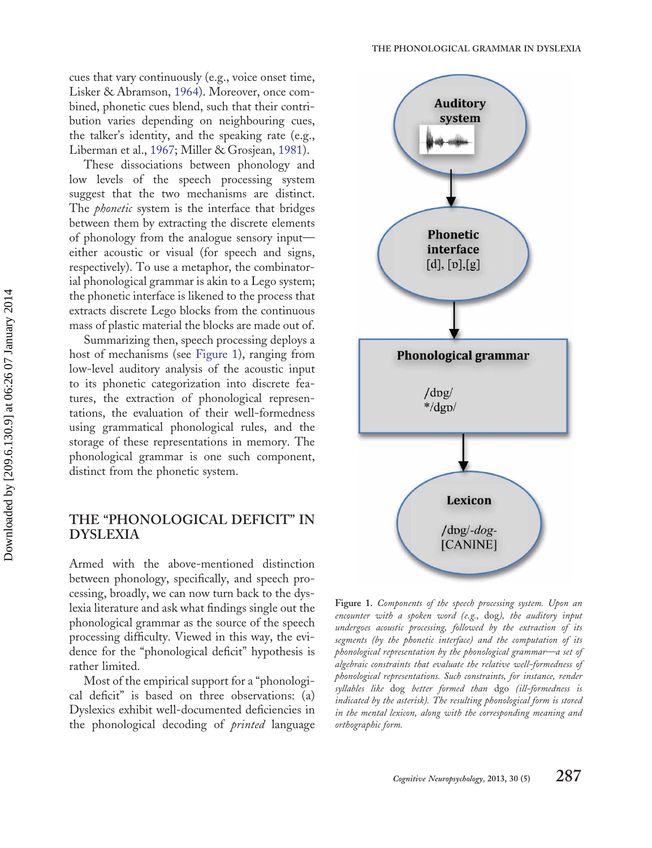cues that vary continuously (e.g., voice onset time, Lisker & Abramson, [1964](#page-25-0)). Moreover, once combined, phonetic cues blend, such that their contribution varies depending on neighbouring cues, the talker's identity, and the speaking rate (e.g., Liberman et al., [1967;](#page-24-0) Miller & Grosjean, [1981\)](#page-25-0).

These dissociations between phonology and low levels of the speech processing system suggest that the two mechanisms are distinct. The *phonetic* system is the interface that bridges between them by extracting the discrete elements of phonology from the analogue sensory input either acoustic or visual (for speech and signs, respectively). To use a metaphor, the combinatorial phonological grammar is akin to a Lego system; the phonetic interface is likened to the process that extracts discrete Lego blocks from the continuous mass of plastic material the blocks are made out of.

Summarizing then, speech processing deploys a host of mechanisms (see Figure 1), ranging from low-level auditory analysis of the acoustic input to its phonetic categorization into discrete features, the extraction of phonological representations, the evaluation of their well-formedness using grammatical phonological rules, and the storage of these representations in memory. The phonological grammar is one such component, distinct from the phonetic system.

## THE "PHONOLOGICAL DEFICIT" IN DYSLEXIA

Armed with the above-mentioned distinction between phonology, specifically, and speech processing, broadly, we can now turn back to the dyslexia literature and ask what findings single out the phonological grammar as the source of the speech processing difficulty. Viewed in this way, the evidence for the "phonological deficit" hypothesis is rather limited.

Most of the empirical support for a "phonological deficit" is based on three observations: (a) Dyslexics exhibit well-documented deficiencies in the phonological decoding of *printed* language



Figure 1. Components of the speech processing system. Upon an encounter with a spoken word (e.g., dog), the auditory input undergoes acoustic processing, followed by the extraction of its segments (by the phonetic interface) and the computation of its phonological representation by the phonological grammar—a set of algebraic constraints that evaluate the relative well-formedness of phonological representations. Such constraints, for instance, render syllables like dog better formed than dgo (ill-formedness is indicated by the asterisk). The resulting phonological form is stored in the mental lexicon, along with the corresponding meaning and orthographic form.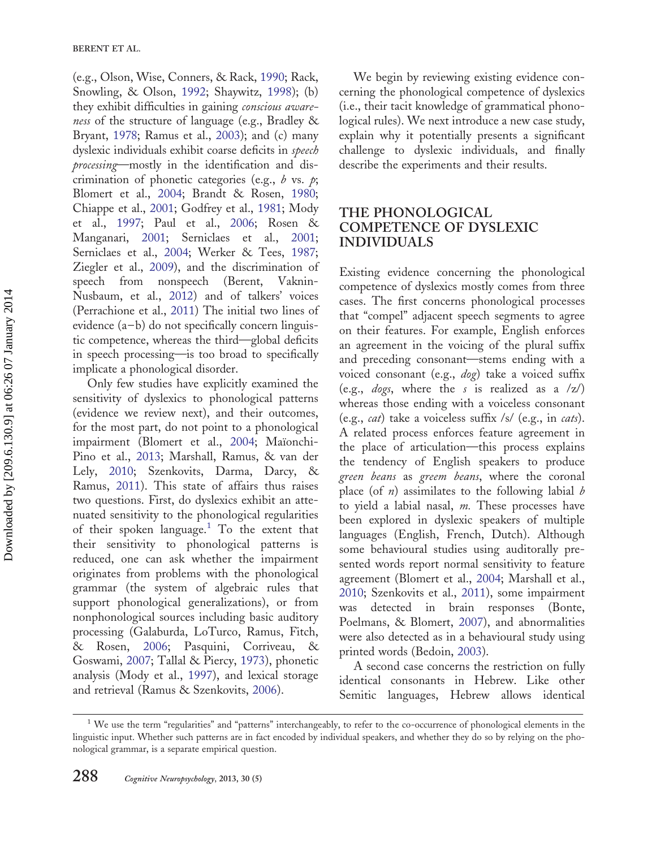(e.g., Olson, Wise, Conners, & Rack, [1990;](#page-25-0) Rack, Snowling, & Olson, [1992](#page-25-0); Shaywitz, [1998\)](#page-26-0); (b) they exhibit difficulties in gaining conscious awareness of the structure of language (e.g., Bradley & Bryant, [1978;](#page-23-0) Ramus et al., [2003](#page-25-0)); and (c) many dyslexic individuals exhibit coarse deficits in *speech* processing—mostly in the identification and discrimination of phonetic categories (e.g.,  $b$  vs.  $p$ ; Blomert et al., [2004;](#page-23-0) Brandt & Rosen, [1980](#page-23-0); Chiappe et al., [2001](#page-23-0); Godfrey et al., [1981;](#page-24-0) Mody et al., [1997;](#page-25-0) Paul et al., [2006](#page-25-0); Rosen & Manganari, [2001](#page-25-0); Serniclaes et al., [2001](#page-26-0); Serniclaes et al., [2004;](#page-26-0) Werker & Tees, [1987](#page-26-0); Ziegler et al., [2009\)](#page-26-0), and the discrimination of speech from nonspeech (Berent, Vaknin-Nusbaum, et al., [2012\)](#page-23-0) and of talkers' voices (Perrachione et al., [2011](#page-25-0)) The initial two lines of evidence (a–b) do not specifically concern linguistic competence, whereas the third—global deficits in speech processing—is too broad to specifically implicate a phonological disorder.

Only few studies have explicitly examined the sensitivity of dyslexics to phonological patterns (evidence we review next), and their outcomes, for the most part, do not point to a phonological impairment (Blomert et al., [2004](#page-23-0); Maïonchi-Pino et al., [2013](#page-25-0); Marshall, Ramus, & van der Lely, [2010;](#page-25-0) Szenkovits, Darma, Darcy, & Ramus, [2011](#page-26-0)). This state of affairs thus raises two questions. First, do dyslexics exhibit an attenuated sensitivity to the phonological regularities of their spoken language.<sup>1</sup> To the extent that their sensitivity to phonological patterns is reduced, one can ask whether the impairment originates from problems with the phonological grammar (the system of algebraic rules that support phonological generalizations), or from nonphonological sources including basic auditory processing (Galaburda, LoTurco, Ramus, Fitch, & Rosen, [2006;](#page-24-0) Pasquini, Corriveau, & Goswami, [2007;](#page-25-0) Tallal & Piercy, [1973\)](#page-26-0), phonetic analysis (Mody et al., [1997\)](#page-25-0), and lexical storage and retrieval (Ramus & Szenkovits, [2006\)](#page-25-0).

We begin by reviewing existing evidence concerning the phonological competence of dyslexics (i.e., their tacit knowledge of grammatical phonological rules). We next introduce a new case study, explain why it potentially presents a significant challenge to dyslexic individuals, and finally describe the experiments and their results.

## THE PHONOLOGICAL COMPETENCE OF DYSLEXIC INDIVIDUALS

Existing evidence concerning the phonological competence of dyslexics mostly comes from three cases. The first concerns phonological processes that "compel" adjacent speech segments to agree on their features. For example, English enforces an agreement in the voicing of the plural suffix and preceding consonant—stems ending with a voiced consonant (e.g., dog) take a voiced suffix (e.g., *dogs*, where the s is realized as a  $\ell z$ ) whereas those ending with a voiceless consonant (e.g., cat) take a voiceless suffix /s/ (e.g., in cats). A related process enforces feature agreement in the place of articulation—this process explains the tendency of English speakers to produce green beans as greem beans, where the coronal place (of *n*) assimilates to the following labial  $b$ to yield a labial nasal, m. These processes have been explored in dyslexic speakers of multiple languages (English, French, Dutch). Although some behavioural studies using auditorally presented words report normal sensitivity to feature agreement (Blomert et al., [2004;](#page-23-0) Marshall et al., [2010;](#page-25-0) Szenkovits et al., [2011](#page-26-0)), some impairment was detected in brain responses (Bonte, Poelmans, & Blomert, [2007](#page-23-0)), and abnormalities were also detected as in a behavioural study using printed words (Bedoin, [2003](#page-23-0)).

A second case concerns the restriction on fully identical consonants in Hebrew. Like other Semitic languages, Hebrew allows identical

<sup>&</sup>lt;sup>1</sup> We use the term "regularities" and "patterns" interchangeably, to refer to the co-occurrence of phonological elements in the linguistic input. Whether such patterns are in fact encoded by individual speakers, and whether they do so by relying on the phonological grammar, is a separate empirical question.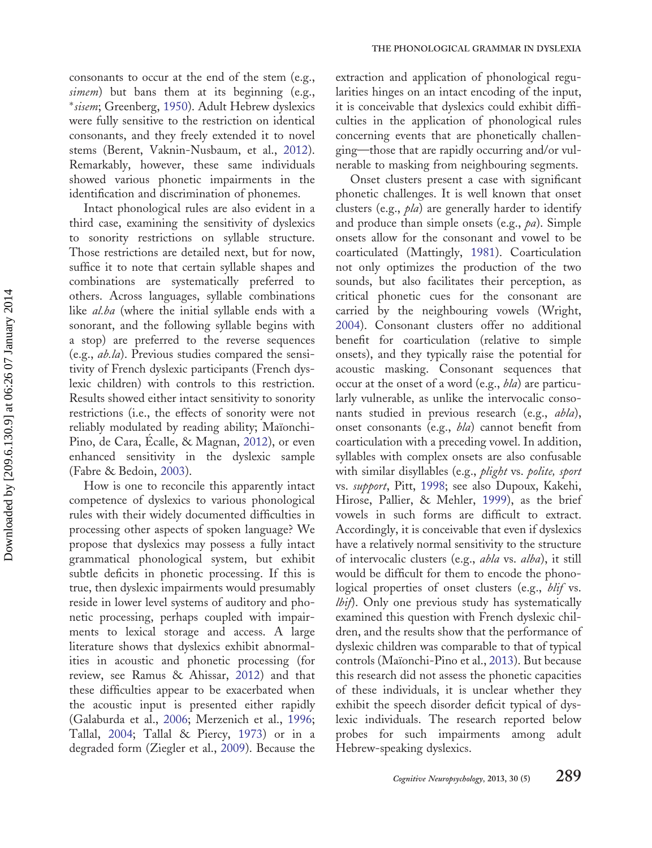consonants to occur at the end of the stem (e.g.,  $simem$ ) but bans them at its beginning (e.g., <sup>∗</sup>sisem; Greenberg, [1950](#page-24-0)). Adult Hebrew dyslexics were fully sensitive to the restriction on identical consonants, and they freely extended it to novel stems (Berent, Vaknin-Nusbaum, et al., [2012](#page-23-0)). Remarkably, however, these same individuals showed various phonetic impairments in the identification and discrimination of phonemes.

Intact phonological rules are also evident in a third case, examining the sensitivity of dyslexics to sonority restrictions on syllable structure. Those restrictions are detailed next, but for now, suffice it to note that certain syllable shapes and combinations are systematically preferred to others. Across languages, syllable combinations like *al.ba* (where the initial syllable ends with a sonorant, and the following syllable begins with a stop) are preferred to the reverse sequences (e.g., ab.la). Previous studies compared the sensitivity of French dyslexic participants (French dyslexic children) with controls to this restriction. Results showed either intact sensitivity to sonority restrictions (i.e., the effects of sonority were not reliably modulated by reading ability; Maïonchi-Pino, de Cara, Ecalle, & Magnan, [2012](#page-25-0)), or even enhanced sensitivity in the dyslexic sample (Fabre & Bedoin, [2003](#page-24-0)).

How is one to reconcile this apparently intact competence of dyslexics to various phonological rules with their widely documented difficulties in processing other aspects of spoken language? We propose that dyslexics may possess a fully intact grammatical phonological system, but exhibit subtle deficits in phonetic processing. If this is true, then dyslexic impairments would presumably reside in lower level systems of auditory and phonetic processing, perhaps coupled with impairments to lexical storage and access. A large literature shows that dyslexics exhibit abnormalities in acoustic and phonetic processing (for review, see Ramus & Ahissar, [2012\)](#page-25-0) and that these difficulties appear to be exacerbated when the acoustic input is presented either rapidly (Galaburda et al., [2006](#page-24-0); Merzenich et al., [1996](#page-25-0); Tallal, [2004](#page-26-0); Tallal & Piercy, [1973\)](#page-26-0) or in a degraded form (Ziegler et al., [2009\)](#page-26-0). Because the

extraction and application of phonological regularities hinges on an intact encoding of the input, it is conceivable that dyslexics could exhibit difficulties in the application of phonological rules concerning events that are phonetically challenging—those that are rapidly occurring and/or vulnerable to masking from neighbouring segments.

Onset clusters present a case with significant phonetic challenges. It is well known that onset clusters (e.g., pla) are generally harder to identify and produce than simple onsets (e.g.,  $pa$ ). Simple onsets allow for the consonant and vowel to be coarticulated (Mattingly, [1981](#page-25-0)). Coarticulation not only optimizes the production of the two sounds, but also facilitates their perception, as critical phonetic cues for the consonant are carried by the neighbouring vowels (Wright, [2004\)](#page-26-0). Consonant clusters offer no additional benefit for coarticulation (relative to simple onsets), and they typically raise the potential for acoustic masking. Consonant sequences that occur at the onset of a word (e.g., bla) are particularly vulnerable, as unlike the intervocalic consonants studied in previous research (e.g., abla), onset consonants (e.g., bla) cannot benefit from coarticulation with a preceding vowel. In addition, syllables with complex onsets are also confusable with similar disyllables (e.g., plight vs. polite, sport vs. support, Pitt, [1998;](#page-25-0) see also Dupoux, Kakehi, Hirose, Pallier, & Mehler, [1999\)](#page-24-0), as the brief vowels in such forms are difficult to extract. Accordingly, it is conceivable that even if dyslexics have a relatively normal sensitivity to the structure of intervocalic clusters (e.g., abla vs. alba), it still would be difficult for them to encode the phonological properties of onset clusters (e.g., *blif* vs. lbif). Only one previous study has systematically examined this question with French dyslexic children, and the results show that the performance of dyslexic children was comparable to that of typical controls (Maïonchi-Pino et al., [2013](#page-25-0)). But because this research did not assess the phonetic capacities of these individuals, it is unclear whether they exhibit the speech disorder deficit typical of dyslexic individuals. The research reported below probes for such impairments among adult Hebrew-speaking dyslexics.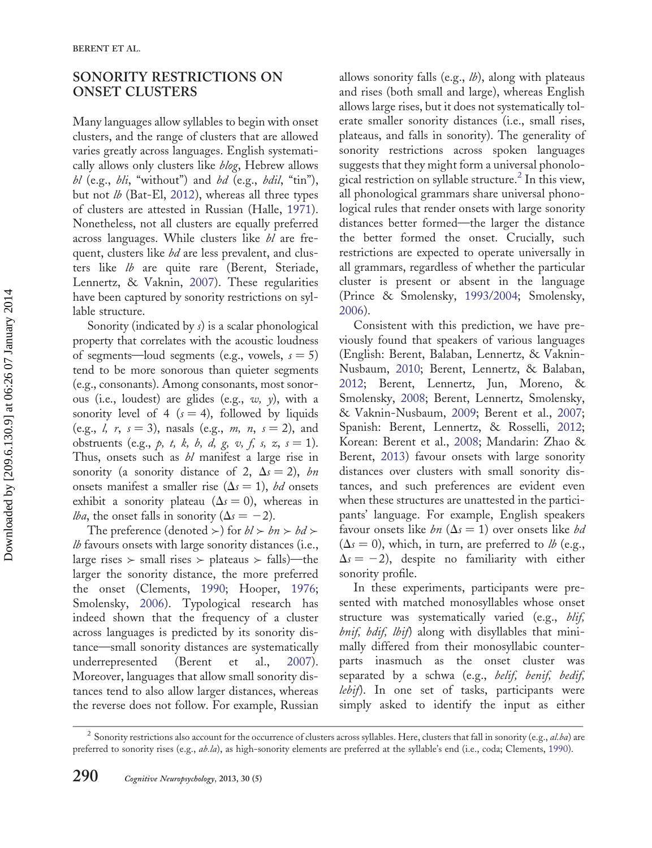## SONORITY RESTRICTIONS ON ONSET CLUSTERS

Many languages allow syllables to begin with onset clusters, and the range of clusters that are allowed varies greatly across languages. English systematically allows only clusters like blog, Hebrew allows  $bl$  (e.g.,  $bli$ , "without") and  $bd$  (e.g.,  $bdil$ , "tin"), but not  $lb$  (Bat-El, [2012](#page-23-0)), whereas all three types of clusters are attested in Russian (Halle, [1971\)](#page-24-0). Nonetheless, not all clusters are equally preferred across languages. While clusters like bl are frequent, clusters like bd are less prevalent, and clusters like *lb* are quite rare (Berent, Steriade, Lennertz, & Vaknin, [2007](#page-23-0)). These regularities have been captured by sonority restrictions on syllable structure.

Sonority (indicated by s) is a scalar phonological property that correlates with the acoustic loudness of segments—loud segments (e.g., vowels,  $s = 5$ ) tend to be more sonorous than quieter segments (e.g., consonants). Among consonants, most sonorous (i.e., loudest) are glides (e.g.,  $w$ ,  $y$ ), with a sonority level of 4 ( $s = 4$ ), followed by liquids (e.g., *l, r, s* = 3), nasals (e.g., *m, n, s* = 2), and obstruents (e.g.,  $\beta$ , t, k, b, d, g, v, f, s, z, s = 1). Thus, onsets such as *bl* manifest a large rise in sonority (a sonority distance of 2,  $\Delta s = 2$ ), bn onsets manifest a smaller rise ( $\Delta s = 1$ ), bd onsets exhibit a sonority plateau ( $\Delta s = 0$ ), whereas in *lba*, the onset falls in sonority  $(\Delta s = -2)$ .

The preference (denoted ≻) for  $bl > bn > bd$  ≻ lb favours onsets with large sonority distances (i.e., large rises ≻ small rises ≻ plateaus ≻ falls)—the larger the sonority distance, the more preferred the onset (Clements, [1990](#page-24-0); Hooper, [1976](#page-24-0); Smolensky, [2006](#page-26-0)). Typological research has indeed shown that the frequency of a cluster across languages is predicted by its sonority distance—small sonority distances are systematically underrepresented (Berent et al., [2007\)](#page-23-0). Moreover, languages that allow small sonority distances tend to also allow larger distances, whereas the reverse does not follow. For example, Russian allows sonority falls (e.g.,  $lb$ ), along with plateaus and rises (both small and large), whereas English allows large rises, but it does not systematically tolerate smaller sonority distances (i.e., small rises, plateaus, and falls in sonority). The generality of sonority restrictions across spoken languages suggests that they might form a universal phonological restriction on syllable structure.<sup>2</sup> In this view, all phonological grammars share universal phonological rules that render onsets with large sonority distances better formed—the larger the distance the better formed the onset. Crucially, such restrictions are expected to operate universally in all grammars, regardless of whether the particular cluster is present or absent in the language (Prince & Smolensky, [1993](#page-25-0)/[2004;](#page-25-0) Smolensky, [2006\)](#page-26-0).

Consistent with this prediction, we have previously found that speakers of various languages (English: Berent, Balaban, Lennertz, & Vaknin-Nusbaum, [2010](#page-23-0); Berent, Lennertz, & Balaban, [2012;](#page-23-0) Berent, Lennertz, Jun, Moreno, & Smolensky, [2008;](#page-23-0) Berent, Lennertz, Smolensky, & Vaknin-Nusbaum, [2009](#page-23-0); Berent et al., [2007](#page-23-0); Spanish: Berent, Lennertz, & Rosselli, [2012](#page-23-0); Korean: Berent et al., [2008](#page-23-0); Mandarin: Zhao & Berent, [2013](#page-26-0)) favour onsets with large sonority distances over clusters with small sonority distances, and such preferences are evident even when these structures are unattested in the participants' language. For example, English speakers favour onsets like bn  $(\Delta s = 1)$  over onsets like bd  $(\Delta s = 0)$ , which, in turn, are preferred to *lb* (e.g.,  $\Delta s = -2$ ), despite no familiarity with either sonority profile.

In these experiments, participants were presented with matched monosyllables whose onset structure was systematically varied (e.g., blif, bnif, bdif, lbif) along with disyllables that minimally differed from their monosyllabic counterparts inasmuch as the onset cluster was separated by a schwa (e.g., belif, benif, bedif, lebif). In one set of tasks, participants were simply asked to identify the input as either

<sup>&</sup>lt;sup>2</sup> Sonority restrictions also account for the occurrence of clusters across syllables. Here, clusters that fall in sonority (e.g.,  $a l.ba$ ) are preferred to sonority rises (e.g., ab.la), as high-sonority elements are preferred at the syllable's end (i.e., coda; Clements, [1990\)](#page-24-0).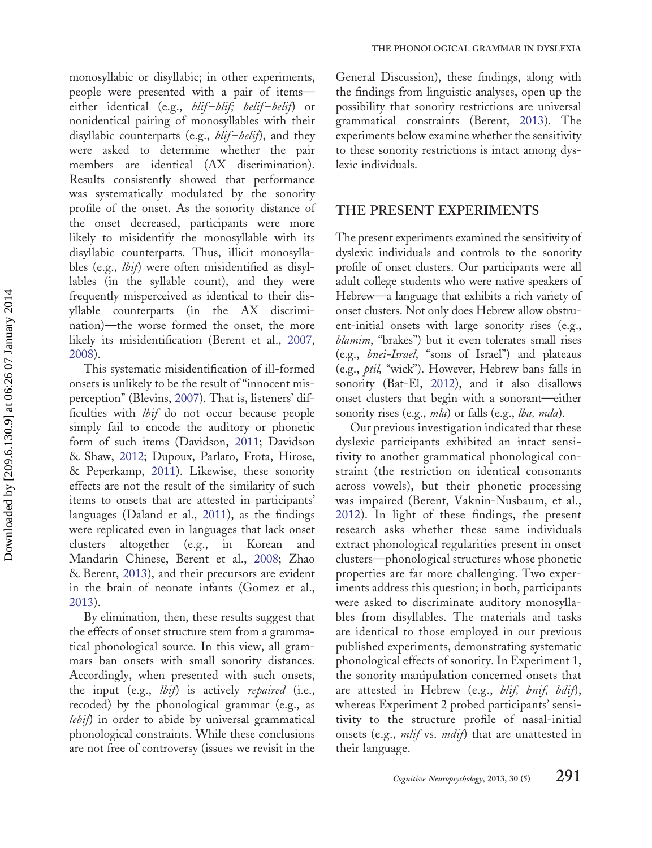monosyllabic or disyllabic; in other experiments, people were presented with a pair of items either identical (e.g., blif–blif; belif–belif) or nonidentical pairing of monosyllables with their disyllabic counterparts (e.g., blif-belif), and they were asked to determine whether the pair members are identical (AX discrimination). Results consistently showed that performance was systematically modulated by the sonority profile of the onset. As the sonority distance of the onset decreased, participants were more likely to misidentify the monosyllable with its disyllabic counterparts. Thus, illicit monosyllables (e.g., lbif) were often misidentified as disyllables (in the syllable count), and they were frequently misperceived as identical to their disyllable counterparts (in the AX discrimination)—the worse formed the onset, the more likely its misidentification (Berent et al., [2007](#page-23-0), [2008\)](#page-23-0).

This systematic misidentification of ill-formed onsets is unlikely to be the result of "innocent misperception" (Blevins, [2007\)](#page-23-0). That is, listeners' difficulties with *lbif* do not occur because people simply fail to encode the auditory or phonetic form of such items (Davidson, [2011](#page-24-0); Davidson & Shaw, [2012](#page-24-0); Dupoux, Parlato, Frota, Hirose, & Peperkamp, [2011](#page-24-0)). Likewise, these sonority effects are not the result of the similarity of such items to onsets that are attested in participants' languages (Daland et al., [2011](#page-24-0)), as the findings were replicated even in languages that lack onset clusters altogether (e.g., in Korean and Mandarin Chinese, Berent et al., [2008;](#page-23-0) Zhao & Berent, [2013](#page-26-0)), and their precursors are evident in the brain of neonate infants (Gomez et al., [2013\)](#page-24-0).

By elimination, then, these results suggest that the effects of onset structure stem from a grammatical phonological source. In this view, all grammars ban onsets with small sonority distances. Accordingly, when presented with such onsets, the input (e.g., *lbif*) is actively *repaired* (i.e., recoded) by the phonological grammar (e.g., as lebif) in order to abide by universal grammatical phonological constraints. While these conclusions are not free of controversy (issues we revisit in the

General Discussion), these findings, along with the findings from linguistic analyses, open up the possibility that sonority restrictions are universal grammatical constraints (Berent, [2013](#page-23-0)). The experiments below examine whether the sensitivity to these sonority restrictions is intact among dyslexic individuals.

## THE PRESENT EXPERIMENTS

The present experiments examined the sensitivity of dyslexic individuals and controls to the sonority profile of onset clusters. Our participants were all adult college students who were native speakers of Hebrew—a language that exhibits a rich variety of onset clusters. Not only does Hebrew allow obstruent-initial onsets with large sonority rises (e.g., blamim, "brakes") but it even tolerates small rises (e.g., bnei-Israel, "sons of Israel") and plateaus (e.g., ptil, "wick"). However, Hebrew bans falls in sonority (Bat-El, [2012\)](#page-23-0), and it also disallows onset clusters that begin with a sonorant—either sonority rises (e.g., mla) or falls (e.g., lba, mda).

Our previous investigation indicated that these dyslexic participants exhibited an intact sensitivity to another grammatical phonological constraint (the restriction on identical consonants across vowels), but their phonetic processing was impaired (Berent, Vaknin-Nusbaum, et al., [2012](#page-23-0)). In light of these findings, the present research asks whether these same individuals extract phonological regularities present in onset clusters—phonological structures whose phonetic properties are far more challenging. Two experiments address this question; in both, participants were asked to discriminate auditory monosyllables from disyllables. The materials and tasks are identical to those employed in our previous published experiments, demonstrating systematic phonological effects of sonority. In Experiment 1, the sonority manipulation concerned onsets that are attested in Hebrew (e.g., blif, bnif, bdif), whereas Experiment 2 probed participants' sensitivity to the structure profile of nasal-initial onsets (e.g., *mlif* vs. *mdif*) that are unattested in their language.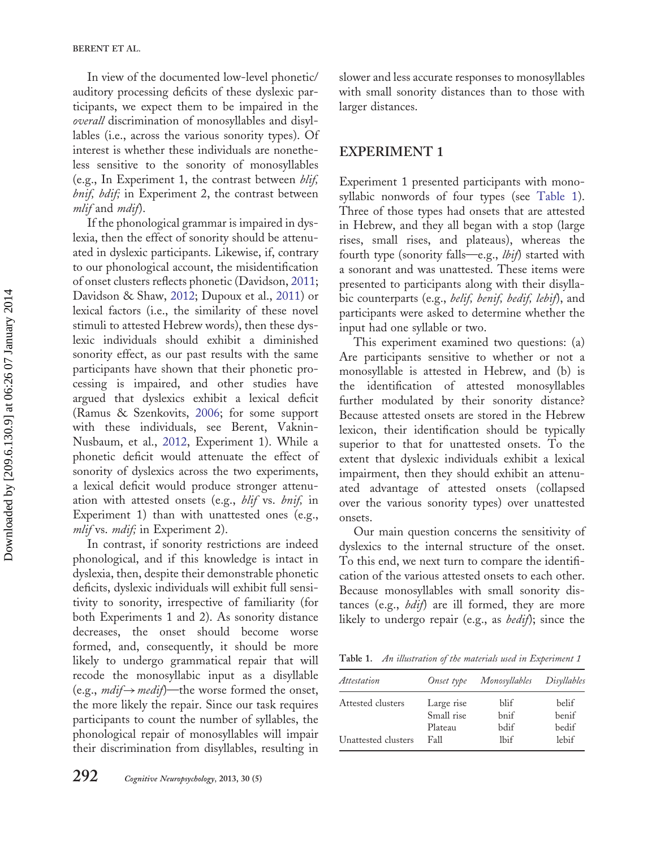In view of the documented low-level phonetic/ auditory processing deficits of these dyslexic participants, we expect them to be impaired in the overall discrimination of monosyllables and disyllables (i.e., across the various sonority types). Of interest is whether these individuals are nonetheless sensitive to the sonority of monosyllables (e.g., In Experiment 1, the contrast between blif, bnif, bdif; in Experiment 2, the contrast between mlif and mdif).

If the phonological grammar is impaired in dyslexia, then the effect of sonority should be attenuated in dyslexic participants. Likewise, if, contrary to our phonological account, the misidentification of onset clusters reflects phonetic (Davidson, [2011](#page-24-0); Davidson & Shaw, [2012](#page-24-0); Dupoux et al., [2011](#page-24-0)) or lexical factors (i.e., the similarity of these novel stimuli to attested Hebrew words), then these dyslexic individuals should exhibit a diminished sonority effect, as our past results with the same participants have shown that their phonetic processing is impaired, and other studies have argued that dyslexics exhibit a lexical deficit (Ramus & Szenkovits, [2006;](#page-25-0) for some support with these individuals, see Berent, Vaknin-Nusbaum, et al., [2012,](#page-23-0) Experiment 1). While a phonetic deficit would attenuate the effect of sonority of dyslexics across the two experiments, a lexical deficit would produce stronger attenuation with attested onsets (e.g., blif vs. bnif, in Experiment 1) than with unattested ones (e.g., mlif vs. mdif; in Experiment 2).

In contrast, if sonority restrictions are indeed phonological, and if this knowledge is intact in dyslexia, then, despite their demonstrable phonetic deficits, dyslexic individuals will exhibit full sensitivity to sonority, irrespective of familiarity (for both Experiments 1 and 2). As sonority distance decreases, the onset should become worse formed, and, consequently, it should be more likely to undergo grammatical repair that will recode the monosyllabic input as a disyllable (e.g., *mdif* $\rightarrow$ *medif*)—the worse formed the onset, the more likely the repair. Since our task requires participants to count the number of syllables, the phonological repair of monosyllables will impair their discrimination from disyllables, resulting in

slower and less accurate responses to monosyllables with small sonority distances than to those with larger distances.

## EXPERIMENT 1

Experiment 1 presented participants with monosyllabic nonwords of four types (see Table 1). Three of those types had onsets that are attested in Hebrew, and they all began with a stop (large rises, small rises, and plateaus), whereas the fourth type (sonority falls—e.g., lbif) started with a sonorant and was unattested. These items were presented to participants along with their disyllabic counterparts (e.g., *belif, benif, bedif, lebif*), and participants were asked to determine whether the input had one syllable or two.

This experiment examined two questions: (a) Are participants sensitive to whether or not a monosyllable is attested in Hebrew, and (b) is the identification of attested monosyllables further modulated by their sonority distance? Because attested onsets are stored in the Hebrew lexicon, their identification should be typically superior to that for unattested onsets. To the extent that dyslexic individuals exhibit a lexical impairment, then they should exhibit an attenuated advantage of attested onsets (collapsed over the various sonority types) over unattested onsets.

Our main question concerns the sensitivity of dyslexics to the internal structure of the onset. To this end, we next turn to compare the identification of the various attested onsets to each other. Because monosyllables with small sonority distances (e.g., *bdif*) are ill formed, they are more likely to undergo repair (e.g., as *bedif)*; since the

Table 1. An illustration of the materials used in Experiment 1

| Attestation         | Onset type | Monosyllables     | Disyllables |
|---------------------|------------|-------------------|-------------|
| Attested clusters   | Large rise | blif              | belif       |
|                     | Small rise | bnif              | benif       |
|                     | Plateau    | bdif              | bedif       |
| Unattested clusters | Fa11       | 1 <sub>hi</sub> f | lebif       |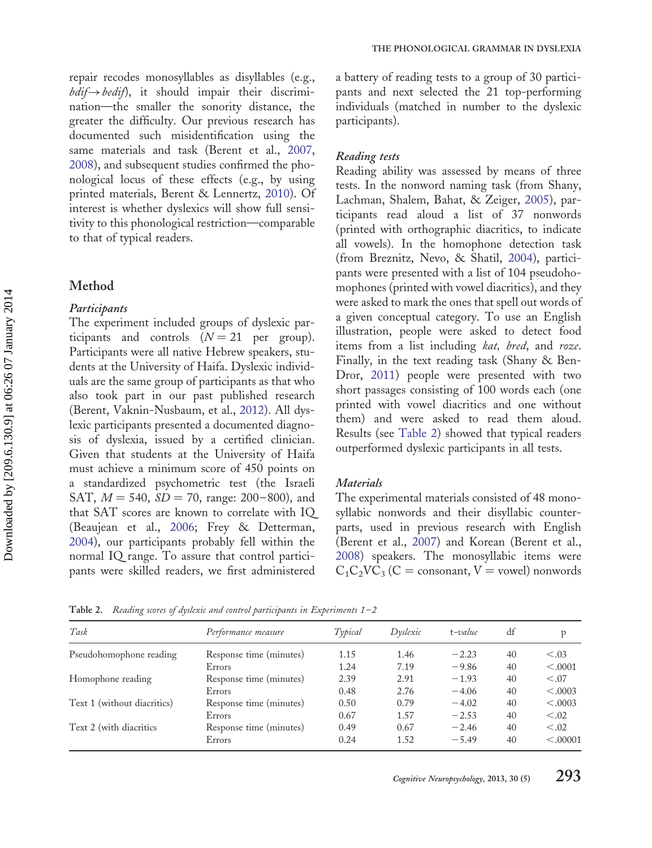repair recodes monosyllables as disyllables (e.g.,  $b\ddot{\alpha}f \rightarrow \dot{b}e\dot{\alpha}f$ , it should impair their discrimination—the smaller the sonority distance, the greater the difficulty. Our previous research has documented such misidentification using the same materials and task (Berent et al., [2007](#page-23-0), [2008\)](#page-23-0), and subsequent studies confirmed the phonological locus of these effects (e.g., by using printed materials, Berent & Lennertz, [2010](#page-23-0)). Of interest is whether dyslexics will show full sensitivity to this phonological restriction—comparable to that of typical readers.

## Method

## Participants

The experiment included groups of dyslexic participants and controls  $(N = 21$  per group). Participants were all native Hebrew speakers, students at the University of Haifa. Dyslexic individuals are the same group of participants as that who also took part in our past published research (Berent, Vaknin-Nusbaum, et al., [2012](#page-23-0)). All dyslexic participants presented a documented diagnosis of dyslexia, issued by a certified clinician. Given that students at the University of Haifa must achieve a minimum score of 450 points on a standardized psychometric test (the Israeli SAT,  $M = 540$ ,  $SD = 70$ , range: 200-800), and that SAT scores are known to correlate with IQ (Beaujean et al., [2006;](#page-23-0) Frey & Detterman, [2004\)](#page-24-0), our participants probably fell within the normal IQ range. To assure that control participants were skilled readers, we first administered

a battery of reading tests to a group of 30 participants and next selected the 21 top-performing individuals (matched in number to the dyslexic participants).

#### Reading tests

Reading ability was assessed by means of three tests. In the nonword naming task (from Shany, Lachman, Shalem, Bahat, & Zeiger, [2005\)](#page-26-0), participants read aloud a list of 37 nonwords (printed with orthographic diacritics, to indicate all vowels). In the homophone detection task (from Breznitz, Nevo, & Shatil, [2004\)](#page-23-0), participants were presented with a list of 104 pseudohomophones (printed with vowel diacritics), and they were asked to mark the ones that spell out words of a given conceptual category. To use an English illustration, people were asked to detect food items from a list including *kat*, *bred*, and *roze*. Finally, in the text reading task (Shany & Ben-Dror, [2011\)](#page-26-0) people were presented with two short passages consisting of 100 words each (one printed with vowel diacritics and one without them) and were asked to read them aloud. Results (see Table 2) showed that typical readers outperformed dyslexic participants in all tests.

#### **Materials**

The experimental materials consisted of 48 monosyllabic nonwords and their disyllabic counterparts, used in previous research with English (Berent et al., [2007\)](#page-23-0) and Korean (Berent et al., [2008\)](#page-23-0) speakers. The monosyllabic items were  $C_1C_2VC_3$  (C = consonant, V = vowel) nonwords

Table 2. Reading scores of dyslexic and control participants in Experiments  $1-2$ 

| Task                        | Performance measure     | Typical | Dyslexic | t-value | df | p           |
|-----------------------------|-------------------------|---------|----------|---------|----|-------------|
| Pseudohomophone reading     | Response time (minutes) | 1.15    | 1.46     | $-2.23$ | 40 | $\leq 0.03$ |
|                             | Errors                  | 1.24    | 7.19     | $-9.86$ | 40 | < .0001     |
| Homophone reading           | Response time (minutes) | 2.39    | 2.91     | $-1.93$ | 40 | < 0.07      |
|                             | Errors                  | 0.48    | 2.76     | $-4.06$ | 40 | < 0.0003    |
| Text 1 (without diacritics) | Response time (minutes) | 0.50    | 0.79     | $-4.02$ | 40 | < 0.0003    |
|                             | Errors                  | 0.67    | 1.57     | $-2.53$ | 40 | < 0.02      |
| Text 2 (with diacritics)    | Response time (minutes) | 0.49    | 0.67     | $-2.46$ | 40 | < .02       |
|                             | Errors                  | 0.24    | 1.52     | $-5.49$ | 40 | < 0.00001   |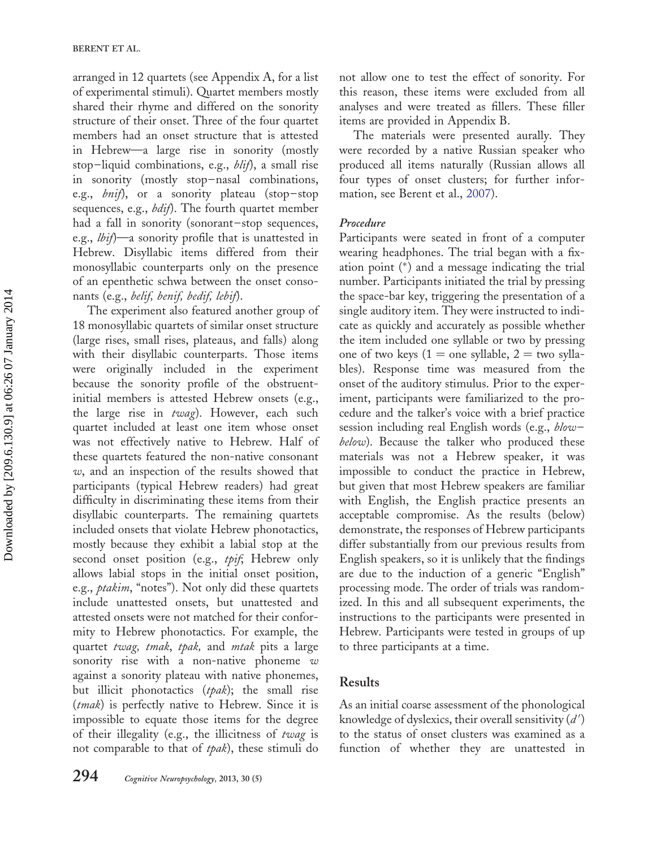arranged in 12 quartets (see Appendix A, for a list of experimental stimuli). Quartet members mostly shared their rhyme and differed on the sonority structure of their onset. Three of the four quartet members had an onset structure that is attested in Hebrew—a large rise in sonority (mostly stop-liquid combinations, e.g.,  $blif$ ), a small rise in sonority (mostly stop–nasal combinations, e.g., *bnif*), or a sonority plateau (stop-stop sequences, e.g., bdif). The fourth quartet member had a fall in sonority (sonorant-stop sequences, e.g., *lbif*)—a sonority profile that is unattested in Hebrew. Disyllabic items differed from their monosyllabic counterparts only on the presence of an epenthetic schwa between the onset consonants (e.g., belif, benif, bedif, lebif).

The experiment also featured another group of 18 monosyllabic quartets of similar onset structure (large rises, small rises, plateaus, and falls) along with their disyllabic counterparts. Those items were originally included in the experiment because the sonority profile of the obstruentinitial members is attested Hebrew onsets (e.g., the large rise in twag). However, each such quartet included at least one item whose onset was not effectively native to Hebrew. Half of these quartets featured the non-native consonant w, and an inspection of the results showed that participants (typical Hebrew readers) had great difficulty in discriminating these items from their disyllabic counterparts. The remaining quartets included onsets that violate Hebrew phonotactics, mostly because they exhibit a labial stop at the second onset position (e.g., tpif; Hebrew only allows labial stops in the initial onset position, e.g., *ptakim*, "notes"). Not only did these quartets include unattested onsets, but unattested and attested onsets were not matched for their conformity to Hebrew phonotactics. For example, the quartet twag, tmak, tpak, and mtak pits a large sonority rise with a non-native phoneme  $w$ against a sonority plateau with native phonemes, but illicit phonotactics (tpak); the small rise (tmak) is perfectly native to Hebrew. Since it is impossible to equate those items for the degree of their illegality (e.g., the illicitness of twag is not comparable to that of tpak), these stimuli do

not allow one to test the effect of sonority. For this reason, these items were excluded from all analyses and were treated as fillers. These filler items are provided in Appendix B.

The materials were presented aurally. They were recorded by a native Russian speaker who produced all items naturally (Russian allows all four types of onset clusters; for further information, see Berent et al., [2007](#page-23-0)).

### Procedure

Participants were seated in front of a computer wearing headphones. The trial began with a fixation point (∗) and a message indicating the trial number. Participants initiated the trial by pressing the space-bar key, triggering the presentation of a single auditory item. They were instructed to indicate as quickly and accurately as possible whether the item included one syllable or two by pressing one of two keys  $(1 =$  one syllable,  $2 =$  two syllables). Response time was measured from the onset of the auditory stimulus. Prior to the experiment, participants were familiarized to the procedure and the talker's voice with a brief practice session including real English words (e.g., *blow*below). Because the talker who produced these materials was not a Hebrew speaker, it was impossible to conduct the practice in Hebrew, but given that most Hebrew speakers are familiar with English, the English practice presents an acceptable compromise. As the results (below) demonstrate, the responses of Hebrew participants differ substantially from our previous results from English speakers, so it is unlikely that the findings are due to the induction of a generic "English" processing mode. The order of trials was randomized. In this and all subsequent experiments, the instructions to the participants were presented in Hebrew. Participants were tested in groups of up to three participants at a time.

## Results

As an initial coarse assessment of the phonological knowledge of dyslexics, their overall sensitivity  $(d^{\,\prime})$ to the status of onset clusters was examined as a function of whether they are unattested in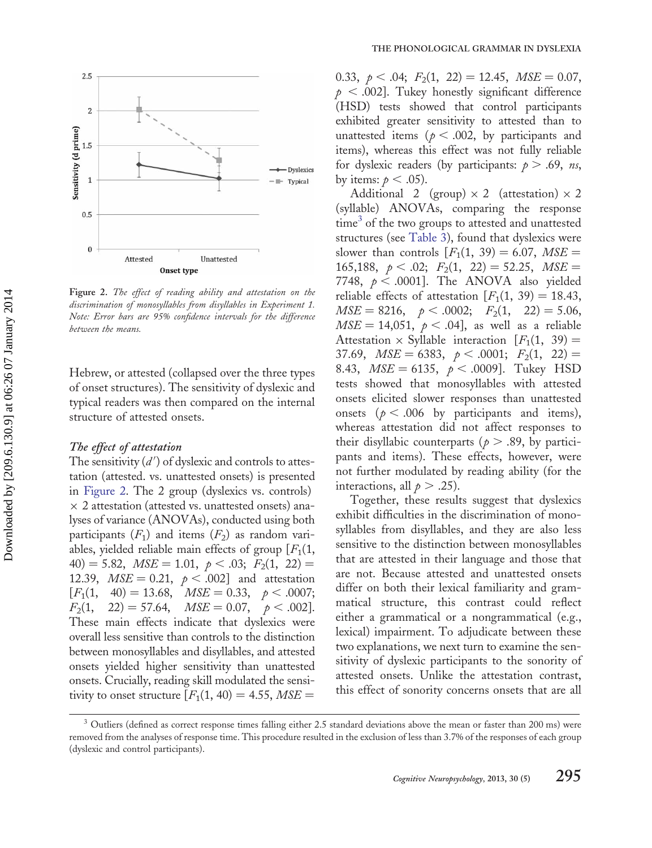

Figure 2. The effect of reading ability and attestation on the discrimination of monosyllables from disyllables in Experiment 1. Note: Error bars are 95% confidence intervals for the difference between the means.

Hebrew, or attested (collapsed over the three types of onset structures). The sensitivity of dyslexic and typical readers was then compared on the internal structure of attested onsets.

#### The effect of attestation

The sensitivity  $(d')$  of dyslexic and controls to attestation (attested. vs. unattested onsets) is presented in Figure 2. The 2 group (dyslexics vs. controls)  $\times$  2 attestation (attested vs. unattested onsets) analyses of variance (ANOVAs), conducted using both participants  $(F_1)$  and items  $(F_2)$  as random variables, yielded reliable main effects of group  $[F_1(1,$  $40) = 5.82$ ,  $MSE = 1.01$ ,  $p < .03$ ;  $F<sub>2</sub>(1, 22) =$ 12.39,  $MSE = 0.21$ ,  $p < .002$ ] and attestation  $[F_1(1, 40) = 13.68, \quad MSE = 0.33, \quad p < .0007;$  $F_2(1, 22) = 57.64, \quad MSE = 0.07, \quad p < .002$ . These main effects indicate that dyslexics were overall less sensitive than controls to the distinction between monosyllables and disyllables, and attested onsets yielded higher sensitivity than unattested onsets. Crucially, reading skill modulated the sensitivity to onset structure  $[F_1(1, 40) = 4.55, MSE =$ 

0.33,  $p < .04$ ;  $F_2(1, 22) = 12.45$ ,  $MSE = 0.07$ ,  $p \leq .002$ . Tukey honestly significant difference (HSD) tests showed that control participants exhibited greater sensitivity to attested than to unattested items ( $p < .002$ , by participants and items), whereas this effect was not fully reliable for dyslexic readers (by participants:  $p > .69$ , ns, by items:  $p < .05$ ).

Additional 2 (group)  $\times$  2 (attestation)  $\times$  2 (syllable) ANOVAs, comparing the response time<sup>3</sup> of the two groups to attested and unattested structures (see [Table 3](#page-13-0)), found that dyslexics were slower than controls  $F_1(1, 39) = 6.07$ , MSE = 165,188,  $p < .02$ ;  $F_2(1, 22) = 52.25$ ,  $MSE =$ 7748,  $p < .0001$ ]. The ANOVA also yielded reliable effects of attestation  $[F_1(1, 39) = 18.43,$  $MSE = 8216, \quad p < .0002; \quad F_2(1, 22) = 5.06,$  $MSE = 14,051, \, \rho < .04$ , as well as a reliable Attestation  $\times$  Syllable interaction  $[F_1(1, 39) =$ 37.69,  $MSE = 6383$ ,  $p < .0001$ ;  $F_2(1, 22) =$ 8.43,  $MSE = 6135$ ,  $p < .0009$ ]. Tukey HSD tests showed that monosyllables with attested onsets elicited slower responses than unattested onsets ( $p < .006$  by participants and items), whereas attestation did not affect responses to their disyllabic counterparts ( $p > .89$ , by participants and items). These effects, however, were not further modulated by reading ability (for the interactions, all  $p > .25$ ).

Together, these results suggest that dyslexics exhibit difficulties in the discrimination of monosyllables from disyllables, and they are also less sensitive to the distinction between monosyllables that are attested in their language and those that are not. Because attested and unattested onsets differ on both their lexical familiarity and grammatical structure, this contrast could reflect either a grammatical or a nongrammatical (e.g., lexical) impairment. To adjudicate between these two explanations, we next turn to examine the sensitivity of dyslexic participants to the sonority of attested onsets. Unlike the attestation contrast, this effect of sonority concerns onsets that are all

<sup>&</sup>lt;sup>3</sup> Outliers (defined as correct response times falling either 2.5 standard deviations above the mean or faster than 200 ms) were removed from the analyses of response time. This procedure resulted in the exclusion of less than 3.7% of the responses of each group (dyslexic and control participants).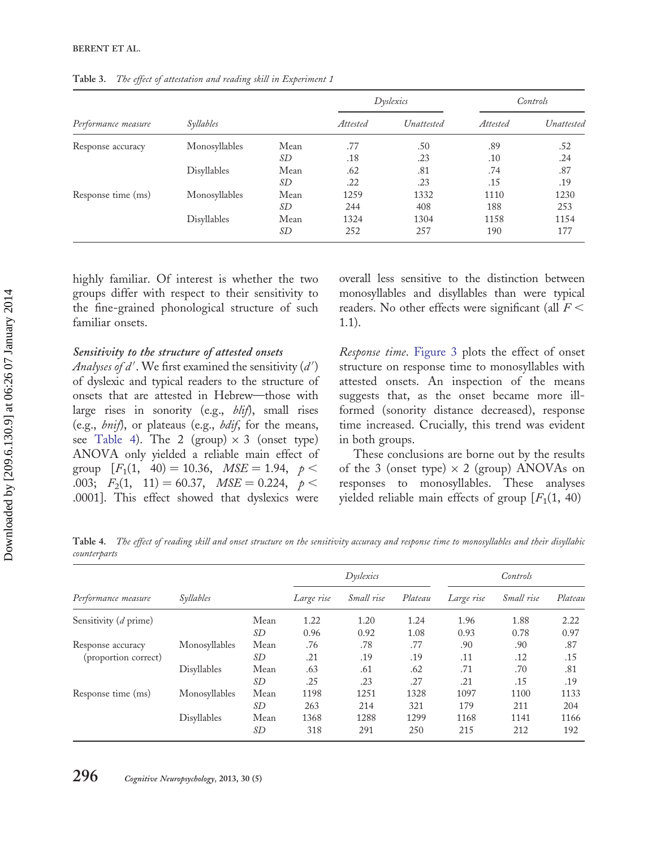|                     | Syllables     |      | Dyslexics |            | Controls |            |
|---------------------|---------------|------|-----------|------------|----------|------------|
| Performance measure |               |      | Attested  | Unattested | Attested | Unattested |
| Response accuracy   | Monosyllables | Mean | .77       | .50        | .89      | .52        |
|                     |               | SD   | .18       | .23        | .10      | .24        |
|                     | Disyllables   | Mean | .62       | .81        | .74      | .87        |
|                     |               | SD   | .22       | .23        | .15      | .19        |
| Response time (ms)  | Monosyllables | Mean | 1259      | 1332       | 1110     | 1230       |
|                     |               | SD   | 244       | 408        | 188      | 253        |
|                     | Disyllables   | Mean | 1324      | 1304       | 1158     | 1154       |
|                     |               | SD   | 252       | 257        | 190      | 177        |

<span id="page-13-0"></span>Table 3. The effect of attestation and reading skill in Experiment 1

highly familiar. Of interest is whether the two groups differ with respect to their sensitivity to the fine-grained phonological structure of such familiar onsets.

## Sensitivity to the structure of attested onsets

Analyses of d'. We first examined the sensitivity (d') of dyslexic and typical readers to the structure of onsets that are attested in Hebrew—those with large rises in sonority (e.g., blif), small rises (e.g., bnif), or plateaus (e.g., bdif, for the means, see Table 4). The 2 (group)  $\times$  3 (onset type) ANOVA only yielded a reliable main effect of group  $[F_1(1, 40) = 10.36, MSE = 1.94, p <$ .003;  $F_2(1, 11) = 60.37, \quad MSE = 0.224, \quad p <$ .0001]. This effect showed that dyslexics were overall less sensitive to the distinction between monosyllables and disyllables than were typical readers. No other effects were significant (all  $F \leq$ 1.1).

Response time. [Figure 3](#page-14-0) plots the effect of onset structure on response time to monosyllables with attested onsets. An inspection of the means suggests that, as the onset became more illformed (sonority distance decreased), response time increased. Crucially, this trend was evident in both groups.

These conclusions are borne out by the results of the 3 (onset type)  $\times$  2 (group) ANOVAs on responses to monosyllables. These analyses yielded reliable main effects of group  $[F_1(1, 40)]$ 

Table 4. The effect of reading skill and onset structure on the sensitivity accuracy and response time to monosyllables and their disyllabic counterparts

|                                           |               |      | Dyslexics  |            |         | Controls   |            |         |
|-------------------------------------------|---------------|------|------------|------------|---------|------------|------------|---------|
| Performance measure                       | Syllables     |      | Large rise | Small rise | Plateau | Large rise | Small rise | Plateau |
| Sensitivity (d prime)                     |               | Mean | 1.22       | 1.20       | 1.24    | 1.96       | 1.88       | 2.22    |
|                                           |               | SD   | 0.96       | 0.92       | 1.08    | 0.93       | 0.78       | 0.97    |
| Response accuracy<br>(proportion correct) | Monosyllables | Mean | .76        | .78        | .77     | .90        | .90        | .87     |
|                                           |               | SD   | .21        | .19        | .19     | .11        | .12        | .15     |
|                                           | Disyllables   | Mean | .63        | .61        | .62     | .71        | .70        | .81     |
|                                           |               | SD   | .25        | .23        | .27     | .21        | .15        | .19     |
| Response time (ms)                        | Monosyllables | Mean | 1198       | 1251       | 1328    | 1097       | 1100       | 1133    |
|                                           |               | SD   | 263        | 214        | 321     | 179        | 211        | 204     |
|                                           | Disyllables   | Mean | 1368       | 1288       | 1299    | 1168       | 1141       | 1166    |
|                                           |               | SD   | 318        | 291        | 250     | 215        | 212        | 192     |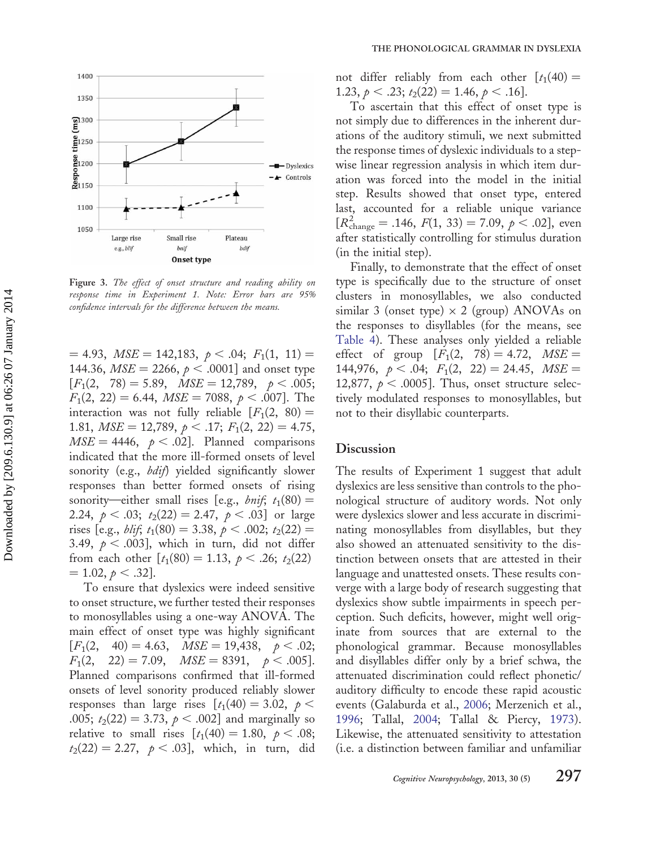<span id="page-14-0"></span>

Figure 3. The effect of onset structure and reading ability on response time in Experiment 1. Note: Error bars are 95% confidence intervals for the difference between the means.

 $= 4.93, \; MSE = 142,183, \; p \leq .04; \; F_1(1, 11) =$ 144.36,  $MSE = 2266$ ,  $p < .0001$ ] and onset type  $[F_1(2, 78) = 5.89, MSE = 12,789, p < .005;$  $F_1(2, 22) = 6.44$ ,  $MSE = 7088$ ,  $p < .007$ . The interaction was not fully reliable  $[F_1(2, 80) =$ 1.81,  $MSE = 12,789, \, \rho \leq .17; \, F_1(2, 22) = 4.75,$  $MSE = 4446$ ,  $p < .02$ ]. Planned comparisons indicated that the more ill-formed onsets of level sonority (e.g., bdif) yielded significantly slower responses than better formed onsets of rising sonority—either small rises [e.g., bnif,  $t_1(80) =$ 2.24,  $p < .03$ ;  $t_2(22) = 2.47$ ,  $p < .03$ ] or large rises [e.g., blif;  $t_1(80) = 3.38$ ,  $p < .002$ ;  $t_2(22) =$ 3.49,  $p < .003$ , which in turn, did not differ from each other  $[t_1(80) = 1.13, p < .26; t_2(22)]$  $= 1.02, p < .32$ ].

To ensure that dyslexics were indeed sensitive to onset structure, we further tested their responses to monosyllables using a one-way ANOVA. The main effect of onset type was highly significant  $[F_1(2, 40) = 4.63, \quad MSE = 19,438, \quad p < .02;$  $F_1(2, 22) = 7.09, \quad MSE = 8391, \quad p < .005$ . Planned comparisons confirmed that ill-formed onsets of level sonority produced reliably slower responses than large rises  $[t_1(40) = 3.02, p <$ .005;  $t_2(22) = 3.73$ ,  $p < .002$ ] and marginally so relative to small rises  $[t_1(40) = 1.80, \, p < .08; \,$  $t_2(22) = 2.27, \, p < .03$ ], which, in turn, did not differ reliably from each other  $[t_1(40) =$ 1.23,  $p < .23$ ;  $t_2(22) = 1.46$ ,  $p < .16$ ].

To ascertain that this effect of onset type is not simply due to differences in the inherent durations of the auditory stimuli, we next submitted the response times of dyslexic individuals to a stepwise linear regression analysis in which item duration was forced into the model in the initial step. Results showed that onset type, entered last, accounted for a reliable unique variance  $[R_{\text{change}}^2 = .146, F(1, 33) = 7.09, p < .02]$ , even after statistically controlling for stimulus duration (in the initial step).

Finally, to demonstrate that the effect of onset type is specifically due to the structure of onset clusters in monosyllables, we also conducted similar 3 (onset type)  $\times$  2 (group) ANOVAs on the responses to disyllables (for the means, see [Table 4\)](#page-13-0). These analyses only yielded a reliable effect of group  $[F_1(2, 78) = 4.72, \; MSE =$ 144,976,  $p < .04$ ;  $F_1(2, 22) = 24.45$ ,  $MSE =$ 12,877,  $p < .0005$ ]. Thus, onset structure selectively modulated responses to monosyllables, but not to their disyllabic counterparts.

## Discussion

The results of Experiment 1 suggest that adult dyslexics are less sensitive than controls to the phonological structure of auditory words. Not only were dyslexics slower and less accurate in discriminating monosyllables from disyllables, but they also showed an attenuated sensitivity to the distinction between onsets that are attested in their language and unattested onsets. These results converge with a large body of research suggesting that dyslexics show subtle impairments in speech perception. Such deficits, however, might well originate from sources that are external to the phonological grammar. Because monosyllables and disyllables differ only by a brief schwa, the attenuated discrimination could reflect phonetic/ auditory difficulty to encode these rapid acoustic events (Galaburda et al., [2006](#page-24-0); Merzenich et al., [1996;](#page-25-0) Tallal, [2004;](#page-26-0) Tallal & Piercy, [1973](#page-26-0)). Likewise, the attenuated sensitivity to attestation (i.e. a distinction between familiar and unfamiliar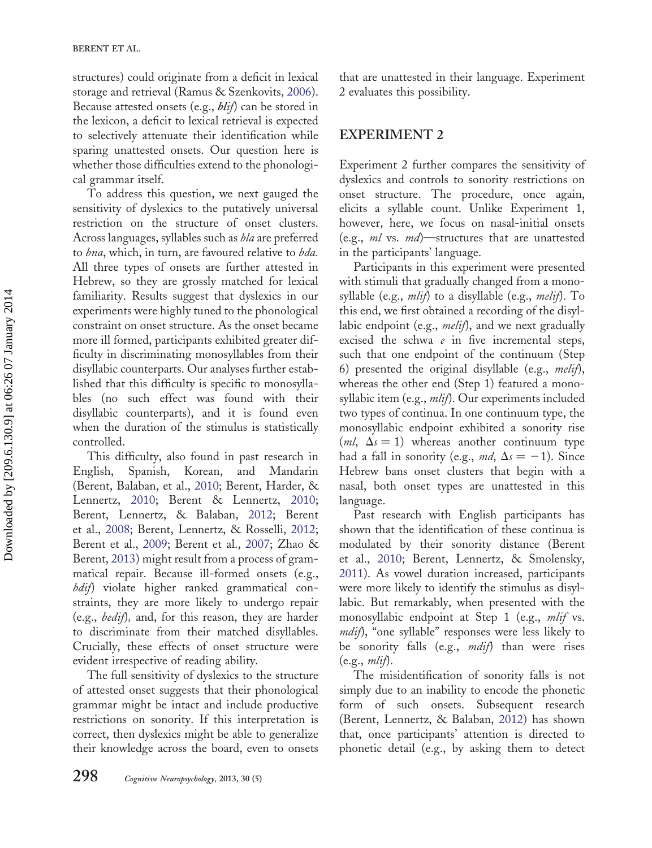structures) could originate from a deficit in lexical storage and retrieval (Ramus & Szenkovits, [2006\)](#page-25-0). Because attested onsets (e.g., *blif*) can be stored in the lexicon, a deficit to lexical retrieval is expected to selectively attenuate their identification while sparing unattested onsets. Our question here is whether those difficulties extend to the phonological grammar itself.

To address this question, we next gauged the sensitivity of dyslexics to the putatively universal restriction on the structure of onset clusters. Across languages, syllables such as bla are preferred to *bna*, which, in turn, are favoured relative to *bda*. All three types of onsets are further attested in Hebrew, so they are grossly matched for lexical familiarity. Results suggest that dyslexics in our experiments were highly tuned to the phonological constraint on onset structure. As the onset became more ill formed, participants exhibited greater difficulty in discriminating monosyllables from their disyllabic counterparts. Our analyses further established that this difficulty is specific to monosyllables (no such effect was found with their disyllabic counterparts), and it is found even when the duration of the stimulus is statistically controlled.

This difficulty, also found in past research in English, Spanish, Korean, and Mandarin (Berent, Balaban, et al., [2010;](#page-23-0) Berent, Harder, & Lennertz, [2010;](#page-23-0) Berent & Lennertz, [2010](#page-23-0); Berent, Lennertz, & Balaban, [2012](#page-23-0); Berent et al., [2008;](#page-23-0) Berent, Lennertz, & Rosselli, [2012](#page-23-0); Berent et al., [2009;](#page-23-0) Berent et al., [2007;](#page-23-0) Zhao & Berent, [2013\)](#page-26-0) might result from a process of grammatical repair. Because ill-formed onsets (e.g., bdif) violate higher ranked grammatical constraints, they are more likely to undergo repair (e.g., bedif), and, for this reason, they are harder to discriminate from their matched disyllables. Crucially, these effects of onset structure were evident irrespective of reading ability.

The full sensitivity of dyslexics to the structure of attested onset suggests that their phonological grammar might be intact and include productive restrictions on sonority. If this interpretation is correct, then dyslexics might be able to generalize their knowledge across the board, even to onsets that are unattested in their language. Experiment 2 evaluates this possibility.

## EXPERIMENT 2

Experiment 2 further compares the sensitivity of dyslexics and controls to sonority restrictions on onset structure. The procedure, once again, elicits a syllable count. Unlike Experiment 1, however, here, we focus on nasal-initial onsets (e.g., ml vs. md)—structures that are unattested in the participants' language.

Participants in this experiment were presented with stimuli that gradually changed from a monosyllable (e.g., *mlif*) to a disyllable (e.g., *melif*). To this end, we first obtained a recording of the disyllabic endpoint (e.g., *melif)*, and we next gradually excised the schwa  $e$  in five incremental steps, such that one endpoint of the continuum (Step 6) presented the original disyllable (e.g., melif), whereas the other end (Step 1) featured a monosyllabic item (e.g., *mlif*). Our experiments included two types of continua. In one continuum type, the monosyllabic endpoint exhibited a sonority rise  $(ml, \Delta s = 1)$  whereas another continuum type had a fall in sonority (e.g., md,  $\Delta s = -1$ ). Since Hebrew bans onset clusters that begin with a nasal, both onset types are unattested in this language.

Past research with English participants has shown that the identification of these continua is modulated by their sonority distance (Berent et al., [2010](#page-23-0); Berent, Lennertz, & Smolensky, [2011\)](#page-23-0). As vowel duration increased, participants were more likely to identify the stimulus as disyllabic. But remarkably, when presented with the monosyllabic endpoint at Step 1 (e.g., mlif vs. mdif), "one syllable" responses were less likely to be sonority falls (e.g., *mdif*) than were rises  $(e.g., *mlif*).$ 

The misidentification of sonority falls is not simply due to an inability to encode the phonetic form of such onsets. Subsequent research (Berent, Lennertz, & Balaban, [2012](#page-23-0)) has shown that, once participants' attention is directed to phonetic detail (e.g., by asking them to detect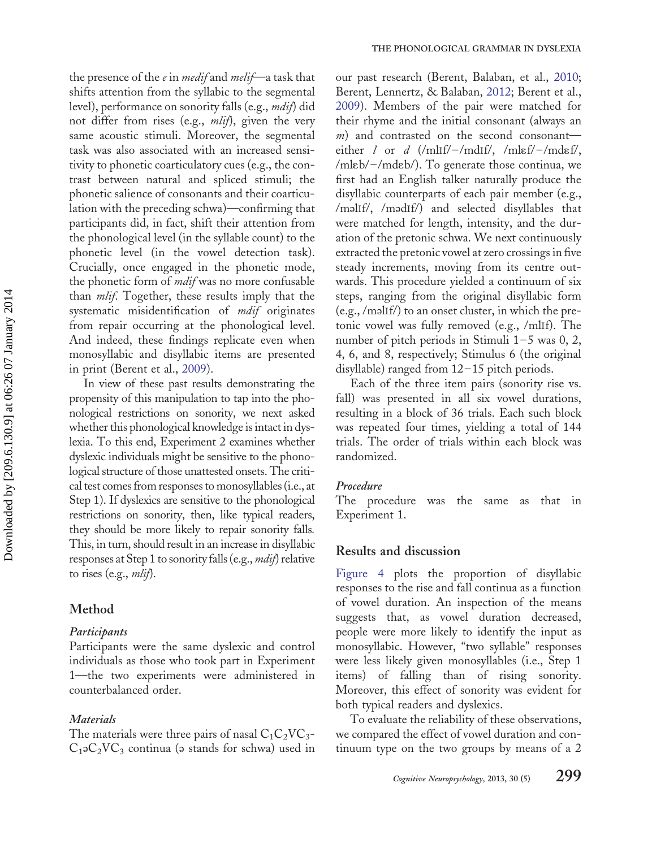the presence of the  $e$  in *medif* and *melif*—a task that shifts attention from the syllabic to the segmental level), performance on sonority falls (e.g., mdif) did not differ from rises (e.g., *mlif*), given the very same acoustic stimuli. Moreover, the segmental task was also associated with an increased sensitivity to phonetic coarticulatory cues (e.g., the contrast between natural and spliced stimuli; the phonetic salience of consonants and their coarticulation with the preceding schwa)—confirming that participants did, in fact, shift their attention from the phonological level (in the syllable count) to the phonetic level (in the vowel detection task). Crucially, once engaged in the phonetic mode, the phonetic form of *mdif* was no more confusable than *mlif*. Together, these results imply that the systematic misidentification of *mdif* originates from repair occurring at the phonological level. And indeed, these findings replicate even when monosyllabic and disyllabic items are presented

in print (Berent et al., [2009\)](#page-23-0). In view of these past results demonstrating the propensity of this manipulation to tap into the phonological restrictions on sonority, we next asked whether this phonological knowledge is intact in dyslexia. To this end, Experiment 2 examines whether dyslexic individuals might be sensitive to the phonological structure of those unattested onsets. The critical test comes from responses to monosyllables (i.e., at Step 1). If dyslexics are sensitive to the phonological restrictions on sonority, then, like typical readers, they should be more likely to repair sonority falls. This, in turn, should result in an increase in disyllabic responses at Step 1 to sonority falls (e.g., *mdif)* relative to rises (e.g.,  $mli$ ).

## Method

### Participants

Participants were the same dyslexic and control individuals as those who took part in Experiment 1—the two experiments were administered in counterbalanced order.

#### **Materials**

The materials were three pairs of nasal  $C_1C_2VC_3$ - $C_1$ <sup> $\infty$ </sup> $C_2$ V $C_3$  continua ( $\infty$  stands for schwa) used in

our past research (Berent, Balaban, et al., [2010](#page-23-0); Berent, Lennertz, & Balaban, [2012](#page-23-0); Berent et al., [2009\)](#page-23-0). Members of the pair were matched for their rhyme and the initial consonant (always an  $m$ ) and contrasted on the second consonant either  $l$  or  $d$  (/mlIf/-/mdIf/, /ml $\epsilon$ f/-/md $\epsilon$ f/,  $/m1$ leb $/$  –/mdeb $/$ ). To generate those continua, we first had an English talker naturally produce the disyllabic counterparts of each pair member (e.g., /məlɪf/, /mədɪf/) and selected disyllables that were matched for length, intensity, and the duration of the pretonic schwa. We next continuously extracted the pretonic vowel at zero crossings in five steady increments, moving from its centre outwards. This procedure yielded a continuum of six steps, ranging from the original disyllabic form (e.g., /məlIf/) to an onset cluster, in which the pretonic vowel was fully removed (e.g., /mlIf). The number of pitch periods in Stimuli  $1-5$  was 0, 2, 4, 6, and 8, respectively; Stimulus 6 (the original disyllable) ranged from 12-15 pitch periods.

Each of the three item pairs (sonority rise vs. fall) was presented in all six vowel durations, resulting in a block of 36 trials. Each such block was repeated four times, yielding a total of 144 trials. The order of trials within each block was randomized.

#### Procedure

The procedure was the same as that in Experiment 1.

## Results and discussion

[Figure 4](#page-17-0) plots the proportion of disyllabic responses to the rise and fall continua as a function of vowel duration. An inspection of the means suggests that, as vowel duration decreased, people were more likely to identify the input as monosyllabic. However, "two syllable" responses were less likely given monosyllables (i.e., Step 1 items) of falling than of rising sonority. Moreover, this effect of sonority was evident for both typical readers and dyslexics.

To evaluate the reliability of these observations, we compared the effect of vowel duration and continuum type on the two groups by means of a 2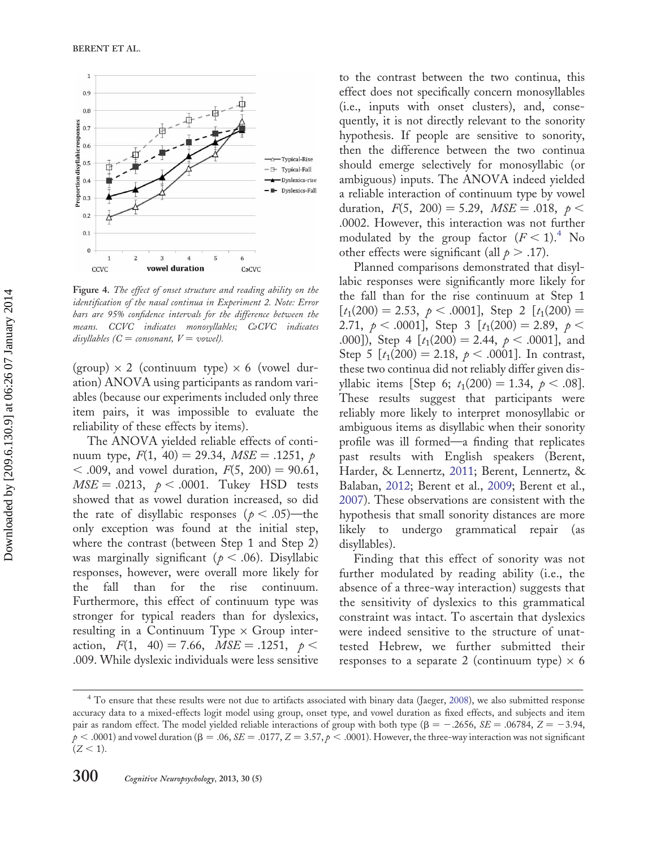<span id="page-17-0"></span>

Figure 4. The effect of onset structure and reading ability on the identification of the nasal continua in Experiment 2. Note: Error bars are 95% confidence intervals for the difference between the means. CCVC indicates monosyllables; CəCVC indicates disyllables ( $C = constant$ ,  $V = vowel$ ).

(group)  $\times$  2 (continuum type)  $\times$  6 (vowel duration) ANOVA using participants as random variables (because our experiments included only three item pairs, it was impossible to evaluate the reliability of these effects by items).

The ANOVA yielded reliable effects of continuum type,  $F(1, 40) = 29.34$ ,  $MSE = .1251$ , p  $<$  .009, and vowel duration,  $F(5, 200) = 90.61$ ,  $MSE = .0213$ ,  $p < .0001$ . Tukey HSD tests showed that as vowel duration increased, so did the rate of disyllabic responses ( $p < .05$ )—the only exception was found at the initial step, where the contrast (between Step 1 and Step 2) was marginally significant ( $p < .06$ ). Disyllabic responses, however, were overall more likely for the fall than for the rise continuum. Furthermore, this effect of continuum type was stronger for typical readers than for dyslexics, resulting in a Continuum Type  $\times$  Group interaction,  $F(1, 40) = 7.66$ ,  $MSE = .1251$ ,  $p <$ .009. While dyslexic individuals were less sensitive to the contrast between the two continua, this effect does not specifically concern monosyllables (i.e., inputs with onset clusters), and, consequently, it is not directly relevant to the sonority hypothesis. If people are sensitive to sonority, then the difference between the two continua should emerge selectively for monosyllabic (or ambiguous) inputs. The ANOVA indeed yielded a reliable interaction of continuum type by vowel duration,  $F(5, 200) = 5.29$ ,  $MSE = .018$ ,  $p <$ .0002. However, this interaction was not further modulated by the group factor  $(F < 1)^4$ . No other effects were significant (all  $p > .17$ ).

Planned comparisons demonstrated that disyllabic responses were significantly more likely for the fall than for the rise continuum at Step 1  $[t_1(200) = 2.53, p < .0001]$ , Step 2  $[t_1(200) =$ 2.71,  $p < .0001$ ], Step 3 [t<sub>1</sub>(200) = 2.89,  $p <$ .000]), Step 4  $[t_1(200) = 2.44, p < .0001]$ , and Step 5  $[t_1(200) = 2.18, p < .0001]$ . In contrast, these two continua did not reliably differ given disyllabic items [Step 6;  $t_1(200) = 1.34$ ,  $p < .08$ ]. These results suggest that participants were reliably more likely to interpret monosyllabic or ambiguous items as disyllabic when their sonority profile was ill formed—a finding that replicates past results with English speakers (Berent, Harder, & Lennertz, [2011;](#page-23-0) Berent, Lennertz, & Balaban, [2012](#page-23-0); Berent et al., [2009;](#page-23-0) Berent et al., [2007\)](#page-23-0). These observations are consistent with the hypothesis that small sonority distances are more likely to undergo grammatical repair (as disyllables).

Finding that this effect of sonority was not further modulated by reading ability (i.e., the absence of a three-way interaction) suggests that the sensitivity of dyslexics to this grammatical constraint was intact. To ascertain that dyslexics were indeed sensitive to the structure of unattested Hebrew, we further submitted their responses to a separate 2 (continuum type)  $\times$  6

<sup>4</sup> To ensure that these results were not due to artifacts associated with binary data (Jaeger, [2008](#page-24-0)), we also submitted response accuracy data to a mixed-effects logit model using group, onset type, and vowel duration as fixed effects, and subjects and item pair as random effect. The model yielded reliable interactions of group with both type  $(\beta = -0.2656, \delta E = 0.06784, Z = -3.94,$  $p < .0001$  and vowel duration ( $\beta = .06$ ,  $SE = .0177$ ,  $Z = 3.57$ ,  $p < .0001$ ). However, the three-way interaction was not significant  $(Z < 1)$ .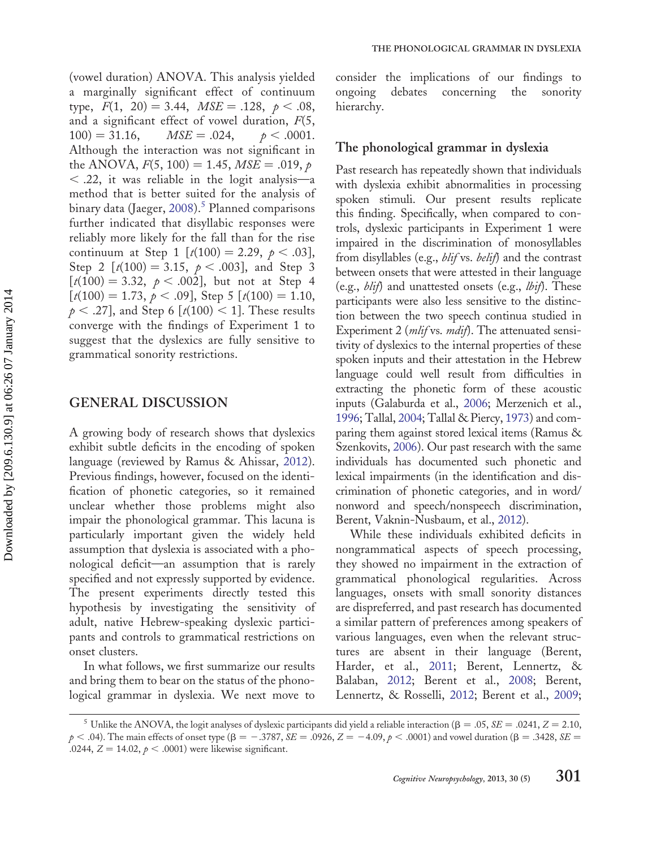(vowel duration) ANOVA. This analysis yielded a marginally significant effect of continuum type,  $F(1, 20) = 3.44$ ,  $MSE = .128$ ,  $p < .08$ , and a significant effect of vowel duration,  $F(5, 1)$  $100$ ) = 31.16,  $MSE = .024$ ,  $p < .0001$ . Although the interaction was not significant in the ANOVA,  $F(5, 100) = 1.45$ ,  $MSE = .019$ ,  $p$  $\langle$  .22, it was reliable in the logit analysis—a method that is better suited for the analysis of binary data (Jaeger, [2008](#page-24-0)).<sup>5</sup> Planned comparisons further indicated that disyllabic responses were reliably more likely for the fall than for the rise continuum at Step 1  $[t(100) = 2.29, p < .03]$ , Step 2  $[t(100) = 3.15, p < .003]$ , and Step 3  $[t(100) = 3.32, p < .002]$ , but not at Step 4  $[t(100) = 1.73, p < .09]$ , Step 5  $[t(100) = 1.10]$ ,  $p < .27$ , and Step 6 [ $t(100) < 1$ ]. These results converge with the findings of Experiment 1 to suggest that the dyslexics are fully sensitive to grammatical sonority restrictions.

## GENERAL DISCUSSION

A growing body of research shows that dyslexics exhibit subtle deficits in the encoding of spoken language (reviewed by Ramus & Ahissar, [2012](#page-25-0)). Previous findings, however, focused on the identification of phonetic categories, so it remained unclear whether those problems might also impair the phonological grammar. This lacuna is particularly important given the widely held assumption that dyslexia is associated with a phonological deficit—an assumption that is rarely specified and not expressly supported by evidence. The present experiments directly tested this hypothesis by investigating the sensitivity of adult, native Hebrew-speaking dyslexic participants and controls to grammatical restrictions on onset clusters.

In what follows, we first summarize our results and bring them to bear on the status of the phonological grammar in dyslexia. We next move to consider the implications of our findings to ongoing debates concerning the sonority hierarchy.

#### The phonological grammar in dyslexia

Past research has repeatedly shown that individuals with dyslexia exhibit abnormalities in processing spoken stimuli. Our present results replicate this finding. Specifically, when compared to controls, dyslexic participants in Experiment 1 were impaired in the discrimination of monosyllables from disyllables (e.g., *blif* vs. *belif*) and the contrast between onsets that were attested in their language (e.g., blif) and unattested onsets (e.g., lbif). These participants were also less sensitive to the distinction between the two speech continua studied in Experiment 2 (*mlif* vs. *mdif*). The attenuated sensitivity of dyslexics to the internal properties of these spoken inputs and their attestation in the Hebrew language could well result from difficulties in extracting the phonetic form of these acoustic inputs (Galaburda et al., [2006;](#page-24-0) Merzenich et al., [1996;](#page-25-0) Tallal, [2004](#page-26-0); Tallal & Piercy, [1973](#page-26-0)) and comparing them against stored lexical items (Ramus & Szenkovits, [2006\)](#page-25-0). Our past research with the same individuals has documented such phonetic and lexical impairments (in the identification and discrimination of phonetic categories, and in word/ nonword and speech/nonspeech discrimination, Berent, Vaknin-Nusbaum, et al., [2012](#page-23-0)).

While these individuals exhibited deficits in nongrammatical aspects of speech processing, they showed no impairment in the extraction of grammatical phonological regularities. Across languages, onsets with small sonority distances are dispreferred, and past research has documented a similar pattern of preferences among speakers of various languages, even when the relevant structures are absent in their language (Berent, Harder, et al., [2011;](#page-23-0) Berent, Lennertz, & Balaban, [2012;](#page-23-0) Berent et al., [2008](#page-23-0); Berent, Lennertz, & Rosselli, [2012;](#page-23-0) Berent et al., [2009](#page-23-0);

<sup>&</sup>lt;sup>5</sup> Unlike the ANOVA, the logit analyses of dyslexic participants did yield a reliable interaction ( $\beta = .05$ ,  $SE = .0241$ ,  $Z = 2.10$ ,  $p < .04$ ). The main effects of onset type ( $\beta = -.3787$ ,  $SE = .0926$ ,  $Z = -4.09$ ,  $p < .0001$ ) and vowel duration ( $\beta = .3428$ ,  $SE =$ .0244,  $Z = 14.02$ ,  $p < .0001$ ) were likewise significant.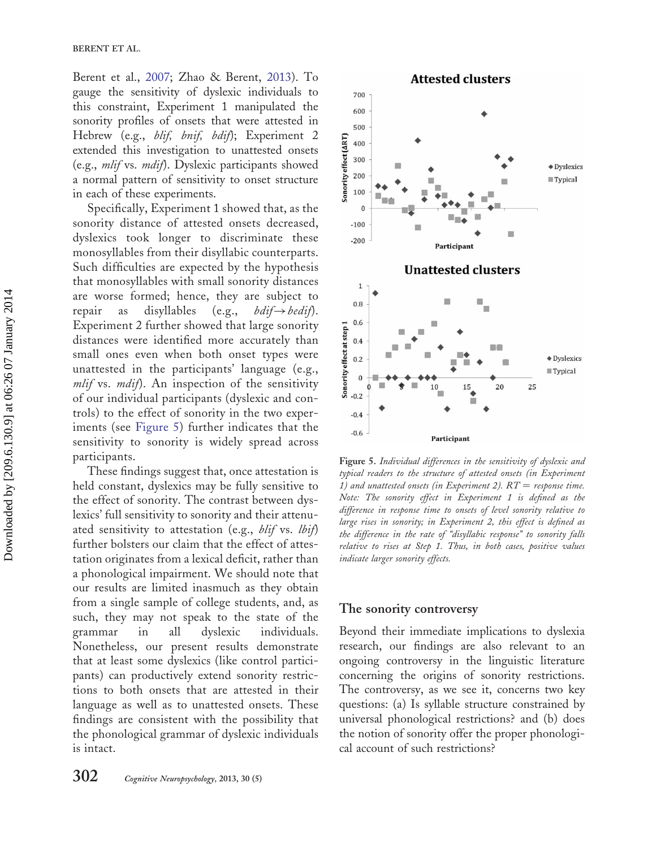Berent et al., [2007;](#page-23-0) Zhao & Berent, [2013\)](#page-26-0). To gauge the sensitivity of dyslexic individuals to this constraint, Experiment 1 manipulated the sonority profiles of onsets that were attested in Hebrew (e.g., blif, bnif, bdif); Experiment 2 extended this investigation to unattested onsets (e.g., mlif vs. mdif). Dyslexic participants showed a normal pattern of sensitivity to onset structure in each of these experiments.

Specifically, Experiment 1 showed that, as the sonority distance of attested onsets decreased, dyslexics took longer to discriminate these monosyllables from their disyllabic counterparts. Such difficulties are expected by the hypothesis that monosyllables with small sonority distances are worse formed; hence, they are subject to repair as disyllables (e.g.,  $b \text{d} i f \rightarrow \text{b} e \text{d} i f$ ). Experiment 2 further showed that large sonority distances were identified more accurately than small ones even when both onset types were unattested in the participants' language (e.g., mlif vs. mdif). An inspection of the sensitivity of our individual participants (dyslexic and controls) to the effect of sonority in the two experiments (see Figure 5) further indicates that the sensitivity to sonority is widely spread across participants.

These findings suggest that, once attestation is held constant, dyslexics may be fully sensitive to the effect of sonority. The contrast between dyslexics' full sensitivity to sonority and their attenuated sensitivity to attestation (e.g., blif vs. lbif) further bolsters our claim that the effect of attestation originates from a lexical deficit, rather than a phonological impairment. We should note that our results are limited inasmuch as they obtain from a single sample of college students, and, as such, they may not speak to the state of the grammar in all dyslexic individuals. Nonetheless, our present results demonstrate that at least some dyslexics (like control participants) can productively extend sonority restrictions to both onsets that are attested in their language as well as to unattested onsets. These findings are consistent with the possibility that the phonological grammar of dyslexic individuals is intact.



Figure 5. Individual differences in the sensitivity of dyslexic and typical readers to the structure of attested onsets (in Experiment 1) and unattested onsets (in Experiment 2).  $RT =$  response time. Note: The sonority effect in Experiment 1 is defined as the difference in response time to onsets of level sonority relative to large rises in sonority; in Experiment 2, this effect is defined as the difference in the rate of "disyllabic response" to sonority falls relative to rises at Step 1. Thus, in both cases, positive values indicate larger sonority effects.

#### The sonority controversy

Beyond their immediate implications to dyslexia research, our findings are also relevant to an ongoing controversy in the linguistic literature concerning the origins of sonority restrictions. The controversy, as we see it, concerns two key questions: (a) Is syllable structure constrained by universal phonological restrictions? and (b) does the notion of sonority offer the proper phonological account of such restrictions?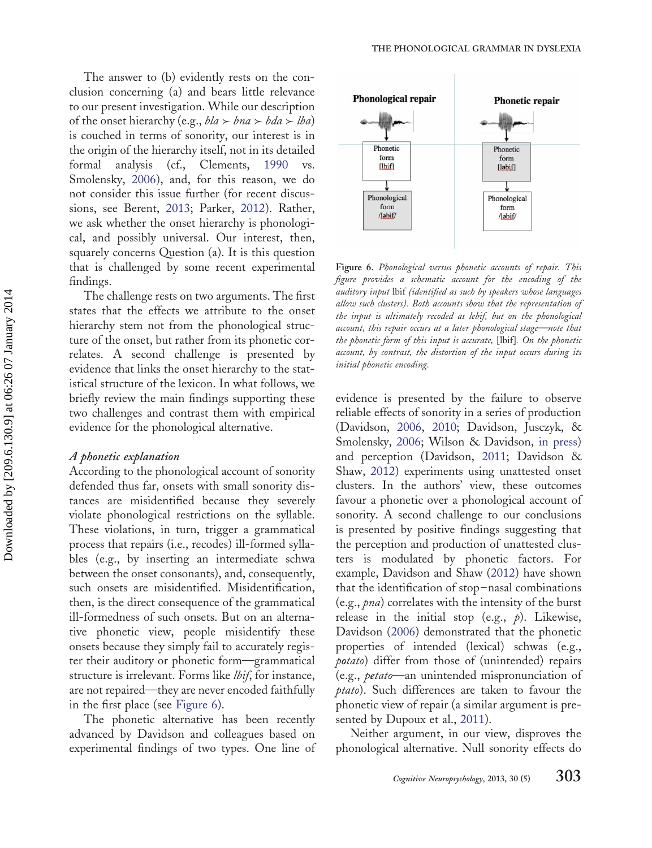The answer to (b) evidently rests on the conclusion concerning (a) and bears little relevance to our present investigation. While our description of the onset hierarchy (e.g., *bla ≻ bna ≻ bda ≻ lba*) is couched in terms of sonority, our interest is in the origin of the hierarchy itself, not in its detailed formal analysis (cf., Clements, [1990](#page-24-0) vs. Smolensky, [2006](#page-26-0)), and, for this reason, we do not consider this issue further (for recent discussions, see Berent, [2013](#page-23-0); Parker, [2012\)](#page-25-0). Rather, we ask whether the onset hierarchy is phonological, and possibly universal. Our interest, then, squarely concerns Question (a). It is this question that is challenged by some recent experimental findings.

The challenge rests on two arguments. The first states that the effects we attribute to the onset hierarchy stem not from the phonological structure of the onset, but rather from its phonetic correlates. A second challenge is presented by evidence that links the onset hierarchy to the statistical structure of the lexicon. In what follows, we briefly review the main findings supporting these two challenges and contrast them with empirical evidence for the phonological alternative.

#### A phonetic explanation

According to the phonological account of sonority defended thus far, onsets with small sonority distances are misidentified because they severely violate phonological restrictions on the syllable. These violations, in turn, trigger a grammatical process that repairs (i.e., recodes) ill-formed syllables (e.g., by inserting an intermediate schwa between the onset consonants), and, consequently, such onsets are misidentified. Misidentification, then, is the direct consequence of the grammatical ill-formedness of such onsets. But on an alternative phonetic view, people misidentify these onsets because they simply fail to accurately register their auditory or phonetic form—grammatical structure is irrelevant. Forms like *lbif*, for instance, are not repaired—they are never encoded faithfully in the first place (see Figure 6).

The phonetic alternative has been recently advanced by Davidson and colleagues based on experimental findings of two types. One line of



Figure 6. Phonological versus phonetic accounts of repair. This figure provides a schematic account for the encoding of the auditory input lbif (identified as such by speakers whose languages allow such clusters). Both accounts show that the representation of the input is ultimately recoded as lebif, but on the phonological account, this repair occurs at a later phonological stage—note that the phonetic form of this input is accurate, [lbif]. On the phonetic account, by contrast, the distortion of the input occurs during its initial phonetic encoding.

evidence is presented by the failure to observe reliable effects of sonority in a series of production (Davidson, [2006,](#page-24-0) [2010](#page-24-0); Davidson, Jusczyk, & Smolensky, [2006](#page-24-0); Wilson & Davidson, [in press\)](#page-26-0) and perception (Davidson, [2011](#page-24-0); Davidson & Shaw, [2012\)](#page-24-0) experiments using unattested onset clusters. In the authors' view, these outcomes favour a phonetic over a phonological account of sonority. A second challenge to our conclusions is presented by positive findings suggesting that the perception and production of unattested clusters is modulated by phonetic factors. For example, Davidson and Shaw [\(2012](#page-24-0)) have shown that the identification of stop –nasal combinations (e.g., pna) correlates with the intensity of the burst release in the initial stop (e.g.,  $p$ ). Likewise, Davidson [\(2006](#page-24-0)) demonstrated that the phonetic properties of intended (lexical) schwas (e.g., potato) differ from those of (unintended) repairs (e.g., petato—an unintended mispronunciation of ptato). Such differences are taken to favour the phonetic view of repair (a similar argument is presented by Dupoux et al., [2011](#page-24-0)).

Neither argument, in our view, disproves the phonological alternative. Null sonority effects do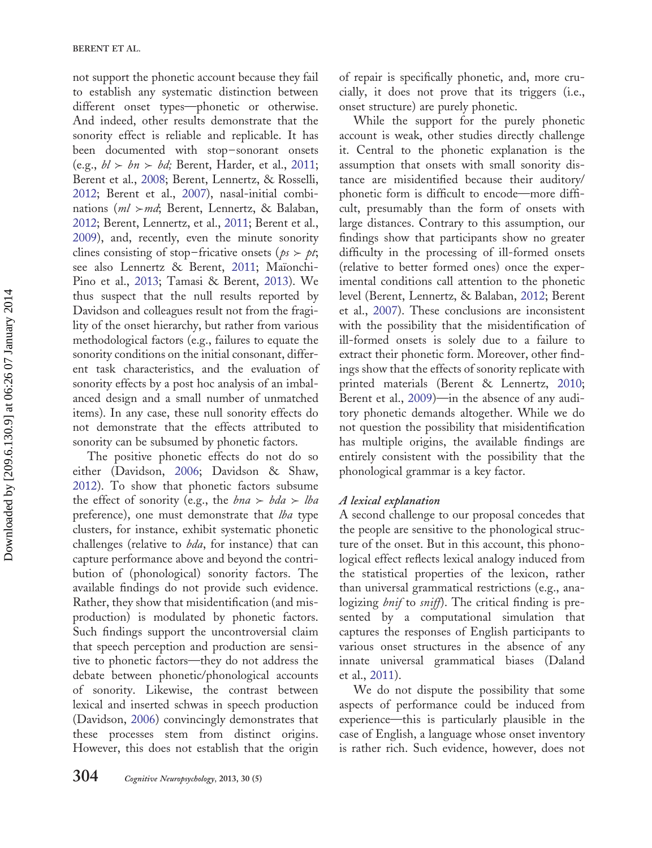not support the phonetic account because they fail to establish any systematic distinction between different onset types—phonetic or otherwise. And indeed, other results demonstrate that the sonority effect is reliable and replicable. It has been documented with stop– sonorant onsets (e.g.,  $bl > bn > bd$ ; Berent, Harder, et al., [2011](#page-23-0); Berent et al., [2008;](#page-23-0) Berent, Lennertz, & Rosselli, [2012;](#page-23-0) Berent et al., [2007\)](#page-23-0), nasal-initial combinations (ml ≻md; Berent, Lennertz, & Balaban, [2012;](#page-23-0) Berent, Lennertz, et al., [2011](#page-23-0); Berent et al., [2009\)](#page-23-0), and, recently, even the minute sonority clines consisting of stop–fricative onsets ( $ps \geq pt$ ; see also Lennertz & Berent, [2011](#page-24-0); Maïonchi-Pino et al., [2013;](#page-25-0) Tamasi & Berent, [2013](#page-26-0)). We thus suspect that the null results reported by Davidson and colleagues result not from the fragility of the onset hierarchy, but rather from various methodological factors (e.g., failures to equate the sonority conditions on the initial consonant, different task characteristics, and the evaluation of sonority effects by a post hoc analysis of an imbalanced design and a small number of unmatched items). In any case, these null sonority effects do not demonstrate that the effects attributed to sonority can be subsumed by phonetic factors.

The positive phonetic effects do not do so either (Davidson, [2006;](#page-24-0) Davidson & Shaw, [2012\)](#page-24-0). To show that phonetic factors subsume the effect of sonority (e.g., the *bna* ≻ *bda* ≻ *lba* preference), one must demonstrate that *lba* type clusters, for instance, exhibit systematic phonetic challenges (relative to *bda*, for instance) that can capture performance above and beyond the contribution of (phonological) sonority factors. The available findings do not provide such evidence. Rather, they show that misidentification (and misproduction) is modulated by phonetic factors. Such findings support the uncontroversial claim that speech perception and production are sensitive to phonetic factors—they do not address the debate between phonetic/phonological accounts of sonority. Likewise, the contrast between lexical and inserted schwas in speech production (Davidson, [2006\)](#page-24-0) convincingly demonstrates that these processes stem from distinct origins. However, this does not establish that the origin of repair is specifically phonetic, and, more crucially, it does not prove that its triggers (i.e., onset structure) are purely phonetic.

While the support for the purely phonetic account is weak, other studies directly challenge it. Central to the phonetic explanation is the assumption that onsets with small sonority distance are misidentified because their auditory/ phonetic form is difficult to encode—more difficult, presumably than the form of onsets with large distances. Contrary to this assumption, our findings show that participants show no greater difficulty in the processing of ill-formed onsets (relative to better formed ones) once the experimental conditions call attention to the phonetic level (Berent, Lennertz, & Balaban, [2012](#page-23-0); Berent et al., [2007\)](#page-23-0). These conclusions are inconsistent with the possibility that the misidentification of ill-formed onsets is solely due to a failure to extract their phonetic form. Moreover, other findings show that the effects of sonority replicate with printed materials (Berent & Lennertz, [2010](#page-23-0); Berent et al., [2009](#page-23-0))—in the absence of any auditory phonetic demands altogether. While we do not question the possibility that misidentification has multiple origins, the available findings are entirely consistent with the possibility that the phonological grammar is a key factor.

### A lexical explanation

A second challenge to our proposal concedes that the people are sensitive to the phonological structure of the onset. But in this account, this phonological effect reflects lexical analogy induced from the statistical properties of the lexicon, rather than universal grammatical restrictions (e.g., analogizing *bnif* to *sniff*). The critical finding is presented by a computational simulation that captures the responses of English participants to various onset structures in the absence of any innate universal grammatical biases (Daland et al., [2011](#page-24-0)).

We do not dispute the possibility that some aspects of performance could be induced from experience—this is particularly plausible in the case of English, a language whose onset inventory is rather rich. Such evidence, however, does not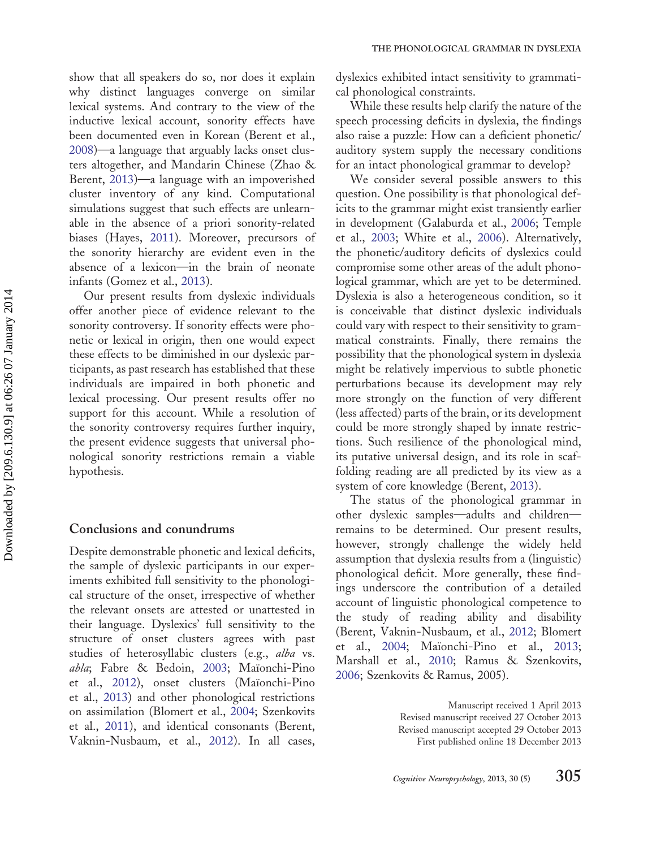show that all speakers do so, nor does it explain why distinct languages converge on similar lexical systems. And contrary to the view of the inductive lexical account, sonority effects have been documented even in Korean (Berent et al., [2008\)](#page-23-0)—a language that arguably lacks onset clusters altogether, and Mandarin Chinese (Zhao & Berent, [2013\)](#page-26-0)—a language with an impoverished cluster inventory of any kind. Computational simulations suggest that such effects are unlearnable in the absence of a priori sonority-related biases (Hayes, [2011](#page-24-0)). Moreover, precursors of the sonority hierarchy are evident even in the absence of a lexicon—in the brain of neonate infants (Gomez et al., [2013](#page-24-0)).

Our present results from dyslexic individuals offer another piece of evidence relevant to the sonority controversy. If sonority effects were phonetic or lexical in origin, then one would expect these effects to be diminished in our dyslexic participants, as past research has established that these individuals are impaired in both phonetic and lexical processing. Our present results offer no support for this account. While a resolution of the sonority controversy requires further inquiry, the present evidence suggests that universal phonological sonority restrictions remain a viable hypothesis.

### Conclusions and conundrums

Despite demonstrable phonetic and lexical deficits, the sample of dyslexic participants in our experiments exhibited full sensitivity to the phonological structure of the onset, irrespective of whether the relevant onsets are attested or unattested in their language. Dyslexics' full sensitivity to the structure of onset clusters agrees with past studies of heterosyllabic clusters (e.g., alba vs. abla; Fabre & Bedoin, [2003;](#page-24-0) Maïonchi-Pino et al., [2012](#page-25-0)), onset clusters (Maïonchi-Pino et al., [2013](#page-25-0)) and other phonological restrictions on assimilation (Blomert et al., [2004](#page-23-0); Szenkovits et al., [2011](#page-26-0)), and identical consonants (Berent, Vaknin-Nusbaum, et al., [2012\)](#page-23-0). In all cases,

dyslexics exhibited intact sensitivity to grammatical phonological constraints.

While these results help clarify the nature of the speech processing deficits in dyslexia, the findings also raise a puzzle: How can a deficient phonetic/ auditory system supply the necessary conditions for an intact phonological grammar to develop?

We consider several possible answers to this question. One possibility is that phonological deficits to the grammar might exist transiently earlier in development (Galaburda et al., [2006](#page-24-0); Temple et al., [2003](#page-26-0); White et al., [2006\)](#page-26-0). Alternatively, the phonetic/auditory deficits of dyslexics could compromise some other areas of the adult phonological grammar, which are yet to be determined. Dyslexia is also a heterogeneous condition, so it is conceivable that distinct dyslexic individuals could vary with respect to their sensitivity to grammatical constraints. Finally, there remains the possibility that the phonological system in dyslexia might be relatively impervious to subtle phonetic perturbations because its development may rely more strongly on the function of very different (less affected) parts of the brain, or its development could be more strongly shaped by innate restrictions. Such resilience of the phonological mind, its putative universal design, and its role in scaffolding reading are all predicted by its view as a system of core knowledge (Berent, [2013](#page-23-0)).

The status of the phonological grammar in other dyslexic samples—adults and children remains to be determined. Our present results, however, strongly challenge the widely held assumption that dyslexia results from a (linguistic) phonological deficit. More generally, these findings underscore the contribution of a detailed account of linguistic phonological competence to the study of reading ability and disability (Berent, Vaknin-Nusbaum, et al., [2012;](#page-23-0) Blomert et al., [2004;](#page-23-0) Maïonchi-Pino et al., [2013](#page-25-0); Marshall et al., [2010](#page-25-0); Ramus & Szenkovits, [2006;](#page-25-0) Szenkovits & Ramus, 2005).

> Manuscript received 1 April 2013 Revised manuscript received 27 October 2013 Revised manuscript accepted 29 October 2013 First published online 18 December 2013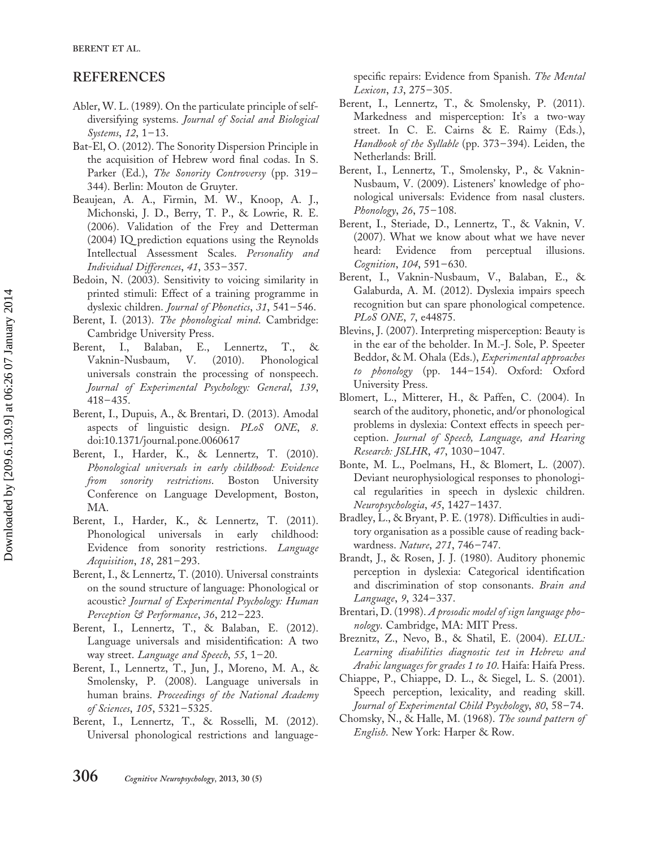## <span id="page-23-0"></span>REFERENCES

- Abler, W. L. (1989). On the particulate principle of selfdiversifying systems. Journal of Social and Biological Systems, 12, 1-13.
- Bat-El, O. (2012). The Sonority Dispersion Principle in the acquisition of Hebrew word final codas. In S. Parker (Ed.), The Sonority Controversy (pp. 319– 344). Berlin: Mouton de Gruyter.
- Beaujean, A. A., Firmin, M. W., Knoop, A. J., Michonski, J. D., Berry, T. P., & Lowrie, R. E. (2006). Validation of the Frey and Detterman (2004) IQ prediction equations using the Reynolds Intellectual Assessment Scales. Personality and Individual Differences, 41, 353 –357.
- Bedoin, N. (2003). Sensitivity to voicing similarity in printed stimuli: Effect of a training programme in dyslexic children. Journal of Phonetics, 31, 541–546.
- Berent, I. (2013). The phonological mind. Cambridge: Cambridge University Press.
- Berent, I., Balaban, E., Lennertz, T., & Vaknin-Nusbaum, V. (2010). Phonological universals constrain the processing of nonspeech. Journal of Experimental Psychology: General, 139,  $418 - 435$ .
- Berent, I., Dupuis, A., & Brentari, D. (2013). Amodal aspects of linguistic design. PLoS ONE, 8. doi:10.1371/journal.pone.0060617
- Berent, I., Harder, K., & Lennertz, T. (2010). Phonological universals in early childhood: Evidence from sonority restrictions. Boston University Conference on Language Development, Boston, MA.
- Berent, I., Harder, K., & Lennertz, T. (2011). Phonological universals in early childhood: Evidence from sonority restrictions. Language Acquisition, 18, 281-293.
- Berent, I., & Lennertz, T. (2010). Universal constraints on the sound structure of language: Phonological or acoustic? Journal of Experimental Psychology: Human Perception & Performance, 36, 212-223.
- Berent, I., Lennertz, T., & Balaban, E. (2012). Language universals and misidentification: A two way street. Language and Speech, 55, 1–20.
- Berent, I., Lennertz, T., Jun, J., Moreno, M. A., & Smolensky, P. (2008). Language universals in human brains. Proceedings of the National Academy of Sciences, 105, 5321–5325.
- Berent, I., Lennertz, T., & Rosselli, M. (2012). Universal phonological restrictions and language-

specific repairs: Evidence from Spanish. The Mental Lexicon, 13, 275 –305.

- Berent, I., Lennertz, T., & Smolensky, P. (2011). Markedness and misperception: It's a two-way street. In C. E. Cairns & E. Raimy (Eds.), Handbook of the Syllable (pp. 373-394). Leiden, the Netherlands: Brill.
- Berent, I., Lennertz, T., Smolensky, P., & Vaknin-Nusbaum, V. (2009). Listeners' knowledge of phonological universals: Evidence from nasal clusters. Phonology, 26, 75– 108.
- Berent, I., Steriade, D., Lennertz, T., & Vaknin, V. (2007). What we know about what we have never heard: Evidence from perceptual illusions. Cognition, 104, 591-630.
- Berent, I., Vaknin-Nusbaum, V., Balaban, E., & Galaburda, A. M. (2012). Dyslexia impairs speech recognition but can spare phonological competence. PLoS ONE, 7, e44875.
- Blevins, J. (2007). Interpreting misperception: Beauty is in the ear of the beholder. In M.-J. Sole, P. Speeter Beddor, & M. Ohala (Eds.), Experimental approaches to phonology (pp. 144-154). Oxford: Oxford University Press.
- Blomert, L., Mitterer, H., & Paffen, C. (2004). In search of the auditory, phonetic, and/or phonological problems in dyslexia: Context effects in speech perception. Journal of Speech, Language, and Hearing Research: JSLHR, 47, 1030–1047.
- Bonte, M. L., Poelmans, H., & Blomert, L. (2007). Deviant neurophysiological responses to phonological regularities in speech in dyslexic children. Neuropsychologia, 45, 1427– 1437.
- Bradley, L., & Bryant, P. E. (1978). Difficulties in auditory organisation as a possible cause of reading backwardness. Nature, 271, 746-747.
- Brandt, J., & Rosen, J. J. (1980). Auditory phonemic perception in dyslexia: Categorical identification and discrimination of stop consonants. Brain and Language, 9, 324 –337.
- Brentari, D. (1998). A prosodic model of sign language phonology. Cambridge, MA: MIT Press.
- Breznitz, Z., Nevo, B., & Shatil, E. (2004). ELUL: Learning disabilities diagnostic test in Hebrew and Arabic languages for grades 1 to 10. Haifa: Haifa Press.
- Chiappe, P., Chiappe, D. L., & Siegel, L. S. (2001). Speech perception, lexicality, and reading skill. Journal of Experimental Child Psychology, 80, 58–74.
- Chomsky, N., & Halle, M. (1968). The sound pattern of English. New York: Harper & Row.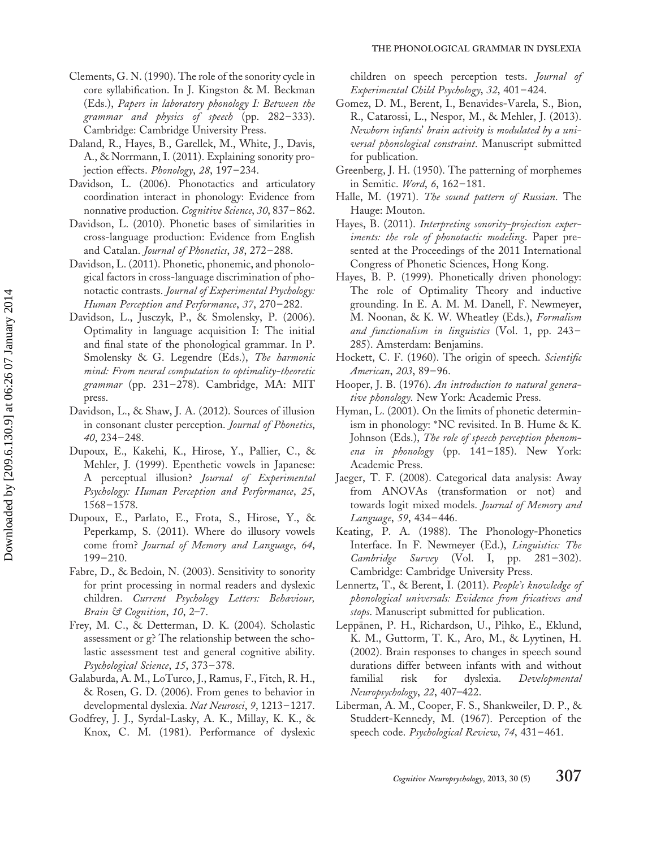- <span id="page-24-0"></span>Clements, G. N. (1990). The role of the sonority cycle in core syllabification. In J. Kingston & M. Beckman (Eds.), Papers in laboratory phonology I: Between the grammar and physics of speech (pp. 282-333). Cambridge: Cambridge University Press.
- Daland, R., Hayes, B., Garellek, M., White, J., Davis, A., & Norrmann, I. (2011). Explaining sonority projection effects. Phonology, 28, 197-234.
- Davidson, L. (2006). Phonotactics and articulatory coordination interact in phonology: Evidence from nonnative production. Cognitive Science, 30, 837–862.
- Davidson, L. (2010). Phonetic bases of similarities in cross-language production: Evidence from English and Catalan. *Journal of Phonetics*, 38, 272-288.
- Davidson, L. (2011). Phonetic, phonemic, and phonological factors in cross-language discrimination of phonotactic contrasts. Journal of Experimental Psychology: Human Perception and Performance, 37, 270-282.
- Davidson, L., Jusczyk, P., & Smolensky, P. (2006). Optimality in language acquisition I: The initial and final state of the phonological grammar. In P. Smolensky & G. Legendre (Eds.), The harmonic mind: From neural computation to optimality-theoretic grammar (pp. 231 –278). Cambridge, MA: MIT press.
- Davidson, L., & Shaw, J. A. (2012). Sources of illusion in consonant cluster perception. Journal of Phonetics, 40, 234 –248.
- Dupoux, E., Kakehi, K., Hirose, Y., Pallier, C., & Mehler, J. (1999). Epenthetic vowels in Japanese: A perceptual illusion? Journal of Experimental Psychology: Human Perception and Performance, 25, 1568 –1578.
- Dupoux, E., Parlato, E., Frota, S., Hirose, Y., & Peperkamp, S. (2011). Where do illusory vowels come from? Journal of Memory and Language, 64,  $199 - 210$ .
- Fabre, D., & Bedoin, N. (2003). Sensitivity to sonority for print processing in normal readers and dyslexic children. Current Psychology Letters: Behaviour, Brain & Cognition, 10, 2–7.
- Frey, M. C., & Detterman, D. K. (2004). Scholastic assessment or g? The relationship between the scholastic assessment test and general cognitive ability. Psychological Science, 15, 373 –378.
- Galaburda, A. M., LoTurco, J., Ramus, F., Fitch, R. H., & Rosen, G. D. (2006). From genes to behavior in developmental dyslexia. Nat Neurosci, 9, 1213–1217.
- Godfrey, J. J., Syrdal-Lasky, A. K., Millay, K. K., & Knox, C. M. (1981). Performance of dyslexic

children on speech perception tests. Journal of Experimental Child Psychology, 32, 401 –424.

- Gomez, D. M., Berent, I., Benavides-Varela, S., Bion, R., Catarossi, L., Nespor, M., & Mehler, J. (2013). Newborn infants' brain activity is modulated by a universal phonological constraint. Manuscript submitted for publication.
- Greenberg, J. H. (1950). The patterning of morphemes in Semitic. Word, 6, 162– 181.
- Halle, M. (1971). The sound pattern of Russian. The Hauge: Mouton.
- Hayes, B. (2011). Interpreting sonority-projection experiments: the role of phonotactic modeling. Paper presented at the Proceedings of the 2011 International Congress of Phonetic Sciences, Hong Kong.
- Hayes, B. P. (1999). Phonetically driven phonology: The role of Optimality Theory and inductive grounding. In E. A. M. M. Danell, F. Newmeyer, M. Noonan, & K. W. Wheatley (Eds.), Formalism and functionalism in linguistics (Vol. 1, pp. 243 – 285). Amsterdam: Benjamins.
- Hockett, C. F. (1960). The origin of speech. Scientific American, 203, 89–96.
- Hooper, J. B. (1976). An introduction to natural generative phonology. New York: Academic Press.
- Hyman, L. (2001). On the limits of phonetic determinism in phonology: <sup>∗</sup>NC revisited. In B. Hume & K. Johnson (Eds.), The role of speech perception phenomena in phonology (pp. 141-185). New York: Academic Press.
- Jaeger, T. F. (2008). Categorical data analysis: Away from ANOVAs (transformation or not) and towards logit mixed models. Journal of Memory and Language, 59, 434 –446.
- Keating, P. A. (1988). The Phonology-Phonetics Interface. In F. Newmeyer (Ed.), Linguistics: The Cambridge Survey (Vol. I, pp. 281–302). Cambridge: Cambridge University Press.
- Lennertz, T., & Berent, I. (2011). People's knowledge of phonological universals: Evidence from fricatives and stops. Manuscript submitted for publication.
- Leppänen, P. H., Richardson, U., Pihko, E., Eklund, K. M., Guttorm, T. K., Aro, M., & Lyytinen, H. (2002). Brain responses to changes in speech sound durations differ between infants with and without familial risk for dyslexia. Developmental Neuropsychology, 22, 407–422.
- Liberman, A. M., Cooper, F. S., Shankweiler, D. P., & Studdert-Kennedy, M. (1967). Perception of the speech code. Psychological Review, 74, 431-461.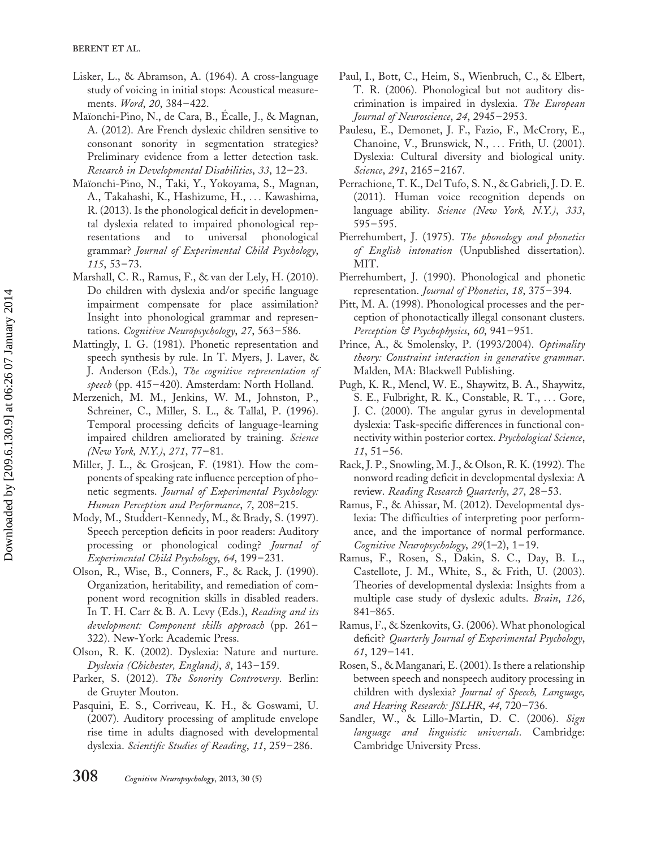- <span id="page-25-0"></span>Lisker, L., & Abramson, A. (1964). A cross-language study of voicing in initial stops: Acoustical measurements. Word, 20, 384-422.
- Maïonchi-Pino, N., de Cara, B., Ecalle, J., & Magnan, A. (2012). Are French dyslexic children sensitive to consonant sonority in segmentation strategies? Preliminary evidence from a letter detection task. Research in Developmental Disabilities, 33, 12-23.
- Maïonchi-Pino, N., Taki, Y., Yokoyama, S., Magnan, A., Takahashi, K., Hashizume, H., ... Kawashima, R. (2013). Is the phonological deficit in developmental dyslexia related to impaired phonological representations and to universal phonological grammar? Journal of Experimental Child Psychology, 115, 53–73.
- Marshall, C. R., Ramus, F., & van der Lely, H. (2010). Do children with dyslexia and/or specific language impairment compensate for place assimilation? Insight into phonological grammar and representations. Cognitive Neuropsychology, 27, 563-586.
- Mattingly, I. G. (1981). Phonetic representation and speech synthesis by rule. In T. Myers, J. Laver, & J. Anderson (Eds.), The cognitive representation of speech (pp. 415-420). Amsterdam: North Holland.
- Merzenich, M. M., Jenkins, W. M., Johnston, P., Schreiner, C., Miller, S. L., & Tallal, P. (1996). Temporal processing deficits of language-learning impaired children ameliorated by training. Science (New York, N.Y.), 271, 77–81.
- Miller, J. L., & Grosjean, F. (1981). How the components of speaking rate influence perception of phonetic segments. Journal of Experimental Psychology: Human Perception and Performance, 7, 208–215.
- Mody, M., Studdert-Kennedy, M., & Brady, S. (1997). Speech perception deficits in poor readers: Auditory processing or phonological coding? Journal of Experimental Child Psychology, 64, 199-231.
- Olson, R., Wise, B., Conners, F., & Rack, J. (1990). Organization, heritability, and remediation of component word recognition skills in disabled readers. In T. H. Carr & B. A. Levy (Eds.), Reading and its development: Component skills approach (pp. 261-322). New-York: Academic Press.
- Olson, R. K. (2002). Dyslexia: Nature and nurture. Dyslexia (Chichester, England), 8, 143–159.
- Parker, S. (2012). The Sonority Controversy. Berlin: de Gruyter Mouton.
- Pasquini, E. S., Corriveau, K. H., & Goswami, U. (2007). Auditory processing of amplitude envelope rise time in adults diagnosed with developmental dyslexia. Scientific Studies of Reading, 11, 259-286.
- Paul, I., Bott, C., Heim, S., Wienbruch, C., & Elbert, T. R. (2006). Phonological but not auditory discrimination is impaired in dyslexia. The European Journal of Neuroscience, 24, 2945–2953.
- Paulesu, E., Demonet, J. F., Fazio, F., McCrory, E., Chanoine, V., Brunswick, N., ... Frith, U. (2001). Dyslexia: Cultural diversity and biological unity. Science, 291, 2165-2167.
- Perrachione, T. K., Del Tufo, S. N., & Gabrieli, J. D. E. (2011). Human voice recognition depends on language ability. Science (New York, N.Y.), 333, 595 –595.
- Pierrehumbert, J. (1975). The phonology and phonetics of English intonation (Unpublished dissertation). MIT.
- Pierrehumbert, J. (1990). Phonological and phonetic representation. Journal of Phonetics, 18, 375 –394.
- Pitt, M. A. (1998). Phonological processes and the perception of phonotactically illegal consonant clusters. Perception & Psychophysics, 60, 941-951.
- Prince, A., & Smolensky, P. (1993/2004). Optimality theory: Constraint interaction in generative grammar. Malden, MA: Blackwell Publishing.
- Pugh, K. R., Mencl, W. E., Shaywitz, B. A., Shaywitz, S. E., Fulbright, R. K., Constable, R. T., ... Gore, J. C. (2000). The angular gyrus in developmental dyslexia: Task-specific differences in functional connectivity within posterior cortex. Psychological Science,  $11, 51 - 56.$
- Rack, J. P., Snowling, M. J., & Olson, R. K. (1992). The nonword reading deficit in developmental dyslexia: A review. Reading Research Quarterly, 27, 28–53.
- Ramus, F., & Ahissar, M. (2012). Developmental dyslexia: The difficulties of interpreting poor performance, and the importance of normal performance. Cognitive Neuropsychology, 29(1–2), 1–19.
- Ramus, F., Rosen, S., Dakin, S. C., Day, B. L., Castellote, J. M., White, S., & Frith, U. (2003). Theories of developmental dyslexia: Insights from a multiple case study of dyslexic adults. Brain, 126, 841–865.
- Ramus, F., & Szenkovits, G. (2006). What phonological deficit? Quarterly Journal of Experimental Psychology, 61, 129-141.
- Rosen, S., & Manganari, E. (2001). Is there a relationship between speech and nonspeech auditory processing in children with dyslexia? Journal of Speech, Language, and Hearing Research: JSLHR, 44, 720–736.
- Sandler, W., & Lillo-Martin, D. C. (2006). Sign language and linguistic universals. Cambridge: Cambridge University Press.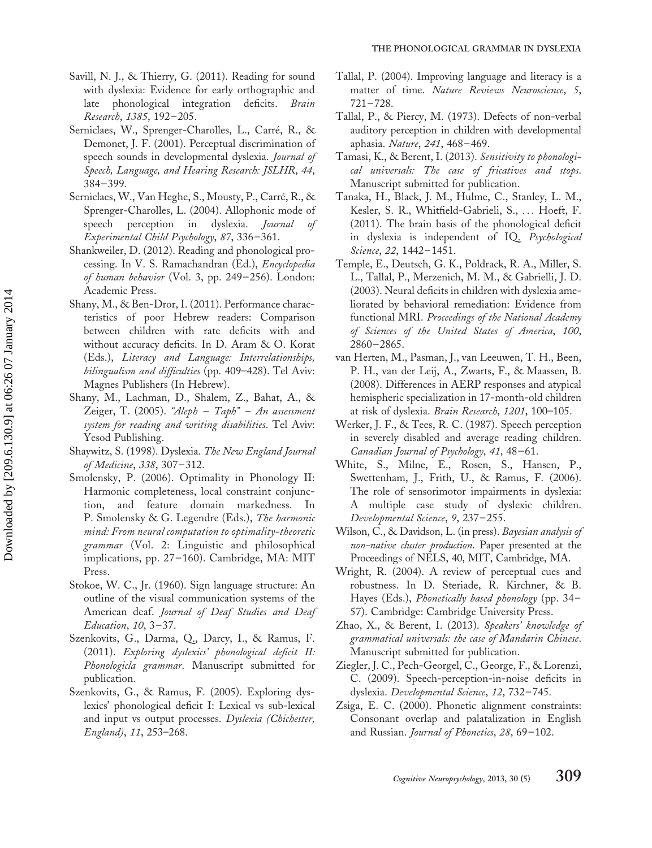- <span id="page-26-0"></span>Savill, N. J., & Thierry, G. (2011). Reading for sound with dyslexia: Evidence for early orthographic and late phonological integration deficits. Brain Research, 1385, 192-205.
- Serniclaes, W., Sprenger-Charolles, L., Carré, R., & Demonet, J. F. (2001). Perceptual discrimination of speech sounds in developmental dyslexia. Journal of Speech, Language, and Hearing Research: JSLHR, 44, 384 –399.
- Serniclaes, W., Van Heghe, S., Mousty, P., Carré, R., & Sprenger-Charolles, L. (2004). Allophonic mode of speech perception in dyslexia. Journal of Experimental Child Psychology, 87, 336– 361.
- Shankweiler, D. (2012). Reading and phonological processing. In V. S. Ramachandran (Ed.), Encyclopedia of human behavior (Vol. 3, pp. 249 –256). London: Academic Press.
- Shany, M., & Ben-Dror, I. (2011). Performance characteristics of poor Hebrew readers: Comparison between children with rate deficits with and without accuracy deficits. In D. Aram & O. Korat (Eds.), Literacy and Language: Interrelationships, bilingualism and difficulties (pp. 409-428). Tel Aviv: Magnes Publishers (In Hebrew).
- Shany, M., Lachman, D., Shalem, Z., Bahat, A., & Zeiger, T. (2005). "Aleph - Taph" - An assessment system for reading and writing disabilities. Tel Aviv: Yesod Publishing.
- Shaywitz, S. (1998). Dyslexia. The New England Journal of Medicine, 338, 307 –312.
- Smolensky, P. (2006). Optimality in Phonology II: Harmonic completeness, local constraint conjunction, and feature domain markedness. In P. Smolensky & G. Legendre (Eds.), The harmonic mind: From neural computation to optimality-theoretic grammar (Vol. 2: Linguistic and philosophical implications, pp. 27 – 160). Cambridge, MA: MIT Press.
- Stokoe, W. C., Jr. (1960). Sign language structure: An outline of the visual communication systems of the American deaf. Journal of Deaf Studies and Deaf Education, 10, 3–37.
- Szenkovits, G., Darma, Q., Darcy, I., & Ramus, F. (2011). Exploring dyslexics' phonological deficit II: Phonologicla grammar. Manuscript submitted for publication.
- Szenkovits, G., & Ramus, F. (2005). Exploring dyslexics' phonological deficit I: Lexical vs sub-lexical and input vs output processes. Dyslexia (Chichester, England), 11, 253–268.
- Tallal, P. (2004). Improving language and literacy is a matter of time. Nature Reviews Neuroscience, 5,  $721 - 728$ .
- Tallal, P., & Piercy, M. (1973). Defects of non-verbal auditory perception in children with developmental aphasia. Nature, 241, 468-469.
- Tamasi, K., & Berent, I. (2013). Sensitivity to phonological universals: The case of fricatives and stops. Manuscript submitted for publication.
- Tanaka, H., Black, J. M., Hulme, C., Stanley, L. M., Kesler, S. R., Whitfield-Gabrieli, S., ... Hoeft, F. (2011). The brain basis of the phonological deficit in dyslexia is independent of IQ. Psychological Science, 22, 1442–1451.
- Temple, E., Deutsch, G. K., Poldrack, R. A., Miller, S. L., Tallal, P., Merzenich, M. M., & Gabrielli, J. D. (2003). Neural deficits in children with dyslexia ameliorated by behavioral remediation: Evidence from functional MRI. Proceedings of the National Academy of Sciences of the United States of America, 100,  $2860 - 2865$ .
- van Herten, M., Pasman, J., van Leeuwen, T. H., Been, P. H., van der Leij, A., Zwarts, F., & Maassen, B. (2008). Differences in AERP responses and atypical hemispheric specialization in 17-month-old children at risk of dyslexia. Brain Research, 1201, 100–105.
- Werker, J. F., & Tees, R. C. (1987). Speech perception in severely disabled and average reading children. Canadian Journal of Psychology, 41, 48-61.
- White, S., Milne, E., Rosen, S., Hansen, P., Swettenham, J., Frith, U., & Ramus, F. (2006). The role of sensorimotor impairments in dyslexia: A multiple case study of dyslexic children. Developmental Science, 9, 237– 255.
- Wilson, C., & Davidson, L. (in press). Bayesian analysis of non-native cluster production. Paper presented at the Proceedings of NELS, 40, MIT, Cambridge, MA.
- Wright, R. (2004). A review of perceptual cues and robustness. In D. Steriade, R. Kirchner, & B. Hayes (Eds.), *Phonetically based phonology* (pp. 34– 57). Cambridge: Cambridge University Press.
- Zhao, X., & Berent, I. (2013). Speakers' knowledge of grammatical universals: the case of Mandarin Chinese. Manuscript submitted for publication.
- Ziegler, J. C., Pech-Georgel, C., George, F., & Lorenzi, C. (2009). Speech-perception-in-noise deficits in dyslexia. Developmental Science, 12, 732 –745.
- Zsiga, E. C. (2000). Phonetic alignment constraints: Consonant overlap and palatalization in English and Russian. Journal of Phonetics, 28, 69-102.